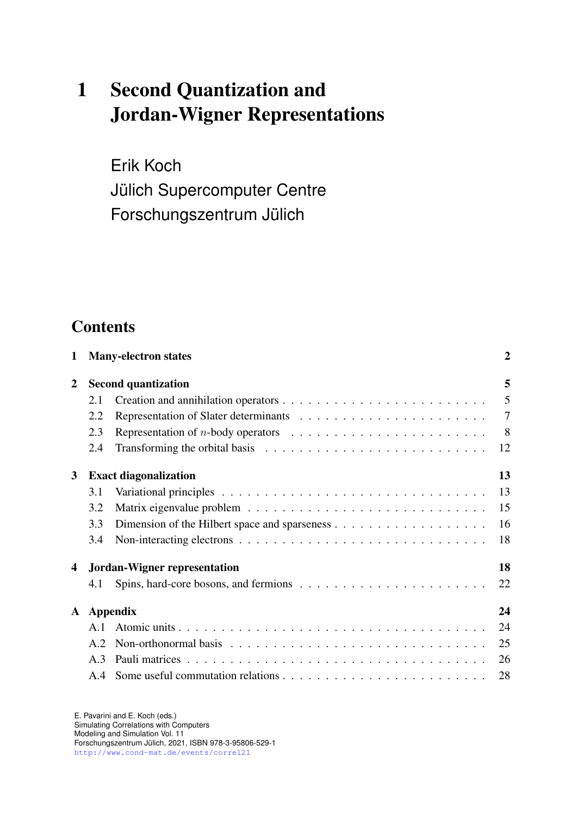# 1 Second Quantization and Jordan-Wigner Representations

Erik Koch Jülich Supercomputer Centre Forschungszentrum Jülich

## **Contents**

| 1              |                                           | <b>Many-electron states</b>                                                                   | 2      |  |  |
|----------------|-------------------------------------------|-----------------------------------------------------------------------------------------------|--------|--|--|
| $\overline{2}$ | <b>Second quantization</b>                |                                                                                               |        |  |  |
|                | 2.1                                       |                                                                                               | 5      |  |  |
|                | 2.2                                       |                                                                                               | $\tau$ |  |  |
|                | 2.3                                       | Representation of <i>n</i> -body operators $\ldots \ldots \ldots \ldots \ldots \ldots \ldots$ | 8      |  |  |
|                | 2.4                                       | Transforming the orbital basis $\ldots \ldots \ldots \ldots \ldots \ldots \ldots \ldots$      | 12     |  |  |
| 3              | 13<br><b>Exact diagonalization</b>        |                                                                                               |        |  |  |
|                | 3.1                                       |                                                                                               | 13     |  |  |
|                | 3.2                                       |                                                                                               | 15     |  |  |
|                | 3.3                                       |                                                                                               | 16     |  |  |
|                | 3.4                                       |                                                                                               | 18     |  |  |
| 4              | 18<br><b>Jordan-Wigner representation</b> |                                                                                               |        |  |  |
|                | 4.1                                       |                                                                                               | 22     |  |  |
| ${\bf A}$      | <b>Appendix</b><br>24                     |                                                                                               |        |  |  |
|                | A.1                                       |                                                                                               | 24     |  |  |
|                | A.2                                       |                                                                                               | 25     |  |  |
|                | A.3                                       |                                                                                               | 26     |  |  |
|                |                                           |                                                                                               | 28     |  |  |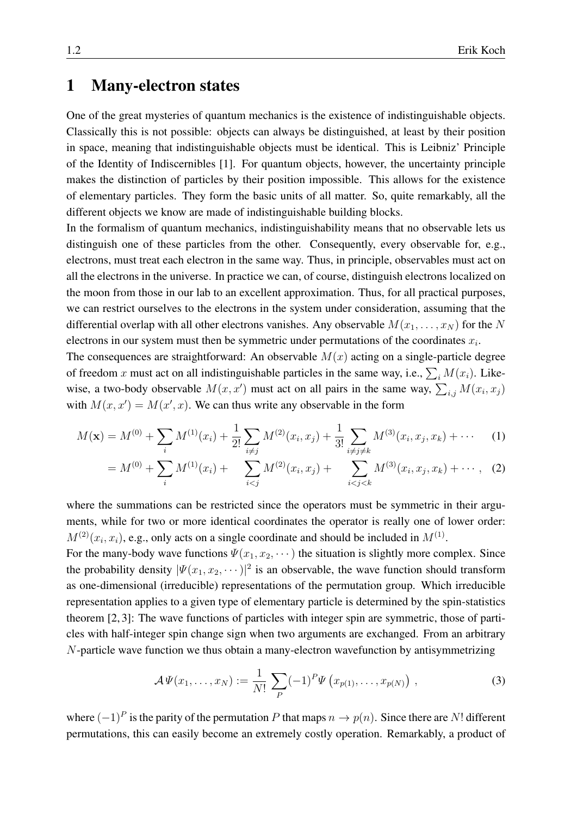## <span id="page-1-0"></span>1 Many-electron states

One of the great mysteries of quantum mechanics is the existence of indistinguishable objects. Classically this is not possible: objects can always be distinguished, at least by their position in space, meaning that indistinguishable objects must be identical. This is Leibniz' Principle of the Identity of Indiscernibles [\[1\]](#page-28-0). For quantum objects, however, the uncertainty principle makes the distinction of particles by their position impossible. This allows for the existence of elementary particles. They form the basic units of all matter. So, quite remarkably, all the different objects we know are made of indistinguishable building blocks.

In the formalism of quantum mechanics, indistinguishability means that no observable lets us distinguish one of these particles from the other. Consequently, every observable for, e.g., electrons, must treat each electron in the same way. Thus, in principle, observables must act on all the electrons in the universe. In practice we can, of course, distinguish electrons localized on the moon from those in our lab to an excellent approximation. Thus, for all practical purposes, we can restrict ourselves to the electrons in the system under consideration, assuming that the differential overlap with all other electrons vanishes. Any observable  $M(x_1, \ldots, x_N)$  for the N electrons in our system must then be symmetric under permutations of the coordinates  $x_i$ .

The consequences are straightforward: An observable  $M(x)$  acting on a single-particle degree of freedom x must act on all indistinguishable particles in the same way, i.e.,  $\sum_i M(x_i)$ . Likewise, a two-body observable  $M(x, x')$  must act on all pairs in the same way,  $\sum_{i,j} M(x_i, x_j)$ with  $M(x, x') = M(x', x)$ . We can thus write any observable in the form

$$
M(\mathbf{x}) = M^{(0)} + \sum_{i} M^{(1)}(x_i) + \frac{1}{2!} \sum_{i \neq j} M^{(2)}(x_i, x_j) + \frac{1}{3!} \sum_{i \neq j \neq k} M^{(3)}(x_i, x_j, x_k) + \cdots
$$
 (1)

<span id="page-1-1"></span>
$$
= M^{(0)} + \sum_{i} M^{(1)}(x_i) + \sum_{i < j} M^{(2)}(x_i, x_j) + \sum_{i < j < k} M^{(3)}(x_i, x_j, x_k) + \cdots, \quad (2)
$$

where the summations can be restricted since the operators must be symmetric in their arguments, while for two or more identical coordinates the operator is really one of lower order:  $M^{(2)}(x_i, x_i)$ , e.g., only acts on a single coordinate and should be included in  $M^{(1)}$ .

For the many-body wave functions  $\Psi(x_1, x_2, \dots)$  the situation is slightly more complex. Since the probability density  $|\Psi(x_1, x_2, \dots)|^2$  is an observable, the wave function should transform as one-dimensional (irreducible) representations of the permutation group. Which irreducible representation applies to a given type of elementary particle is determined by the spin-statistics theorem [\[2,](#page-28-1) [3\]](#page-28-2): The wave functions of particles with integer spin are symmetric, those of particles with half-integer spin change sign when two arguments are exchanged. From an arbitrary N-particle wave function we thus obtain a many-electron wavefunction by antisymmetrizing

$$
\mathcal{A}\Psi(x_1,\ldots,x_N) := \frac{1}{N!} \sum_{P} (-1)^P \Psi\left(x_{p(1)},\ldots,x_{p(N)}\right) , \qquad (3)
$$

where  $(-1)^P$  is the parity of the permutation P that maps  $n \to p(n)$ . Since there are N! different permutations, this can easily become an extremely costly operation. Remarkably, a product of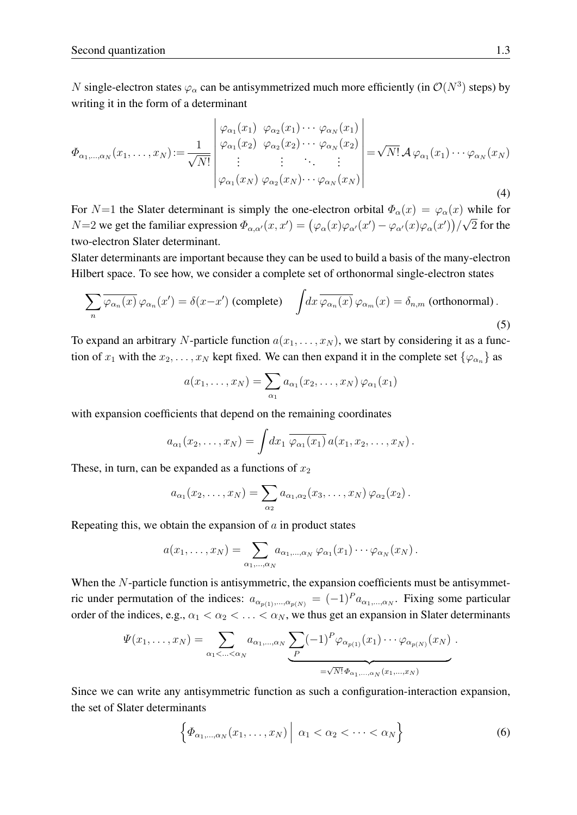N single-electron states  $\varphi_{\alpha}$  can be antisymmetrized much more efficiently (in  $\mathcal{O}(N^3)$  steps) by writing it in the form of a determinant

<span id="page-2-1"></span>
$$
\Phi_{\alpha_1,\dots,\alpha_N}(x_1,\dots,x_N) := \frac{1}{\sqrt{N!}} \begin{vmatrix} \varphi_{\alpha_1}(x_1) & \varphi_{\alpha_2}(x_1) & \cdots & \varphi_{\alpha_N}(x_1) \\ \varphi_{\alpha_1}(x_2) & \varphi_{\alpha_2}(x_2) & \cdots & \varphi_{\alpha_N}(x_2) \\ \vdots & \vdots & \ddots & \vdots \\ \varphi_{\alpha_1}(x_N) & \varphi_{\alpha_2}(x_N) & \cdots & \varphi_{\alpha_N}(x_N) \end{vmatrix} = \sqrt{N!} \mathcal{A} \varphi_{\alpha_1}(x_1) \cdots \varphi_{\alpha_N}(x_N)
$$
\n(4)

For N=1 the Slater determinant is simply the one-electron orbital  $\Phi_{\alpha}(x) = \varphi_{\alpha}(x)$  while for  $N=2$  we get the familiar expression  $\Phi_{\alpha,\alpha'}(x,x') = (\varphi_\alpha(x)\varphi_{\alpha'}(x') - \varphi_{\alpha'}(x)\varphi_{\alpha}(x'))/$ √ 2 for the two-electron Slater determinant.

Slater determinants are important because they can be used to build a basis of the many-electron Hilbert space. To see how, we consider a complete set of orthonormal single-electron states

$$
\sum_{n} \overline{\varphi_{\alpha_n}(x)} \varphi_{\alpha_n}(x') = \delta(x - x') \text{ (complete)} \quad \int dx \, \overline{\varphi_{\alpha_n}(x)} \, \varphi_{\alpha_m}(x) = \delta_{n,m} \text{ (orthonormal)}.
$$
\n(5)

To expand an arbitrary N-particle function  $a(x_1, \ldots, x_N)$ , we start by considering it as a function of  $x_1$  with the  $x_2, \ldots, x_N$  kept fixed. We can then expand it in the complete set  $\{\varphi_{\alpha_n}\}$  as

$$
a(x_1,\ldots,x_N)=\sum_{\alpha_1}a_{\alpha_1}(x_2,\ldots,x_N)\,\varphi_{\alpha_1}(x_1)
$$

with expansion coefficients that depend on the remaining coordinates

$$
a_{\alpha_1}(x_2,\ldots,x_N)=\int dx_1\,\overline{\varphi_{\alpha_1}(x_1)}\,a(x_1,x_2,\ldots,x_N)\,.
$$

These, in turn, can be expanded as a functions of  $x_2$ 

$$
a_{\alpha_1}(x_2,\ldots,x_N)=\sum_{\alpha_2}a_{\alpha_1,\alpha_2}(x_3,\ldots,x_N)\varphi_{\alpha_2}(x_2).
$$

Repeating this, we obtain the expansion of  $\alpha$  in product states

$$
a(x_1,\ldots,x_N)=\sum_{\alpha_1,\ldots,\alpha_N}a_{\alpha_1,\ldots,\alpha_N}\,\varphi_{\alpha_1}(x_1)\cdots\varphi_{\alpha_N}(x_N)\,.
$$

When the N-particle function is antisymmetric, the expansion coefficients must be antisymmetric under permutation of the indices:  $a_{\alpha_{p(1)},...,\alpha_{p(N)}} = (-1)^P a_{\alpha_1,...,\alpha_N}$ . Fixing some particular order of the indices, e.g.,  $\alpha_1 < \alpha_2 < \ldots < \alpha_N$ , we thus get an expansion in Slater determinants

$$
\Psi(x_1,\ldots,x_N)=\sum_{\alpha_1<\ldots<\alpha_N}a_{\alpha_1,\ldots,\alpha_N}\underbrace{\sum_{P}(-1)^P\varphi_{\alpha_{p(1)}}(x_1)\cdots\varphi_{\alpha_{p(N)}}(x_N)}_{=\sqrt{N!}\Phi_{\alpha_1,\ldots,\alpha_N}(x_1,\ldots,x_N)}.
$$

Since we can write any antisymmetric function as such a configuration-interaction expansion, the set of Slater determinants

<span id="page-2-0"></span>
$$
\left\{ \varPhi_{\alpha_1,\dots,\alpha_N}(x_1,\dots,x_N) \middle| \alpha_1 < \alpha_2 < \dots < \alpha_N \right\} \tag{6}
$$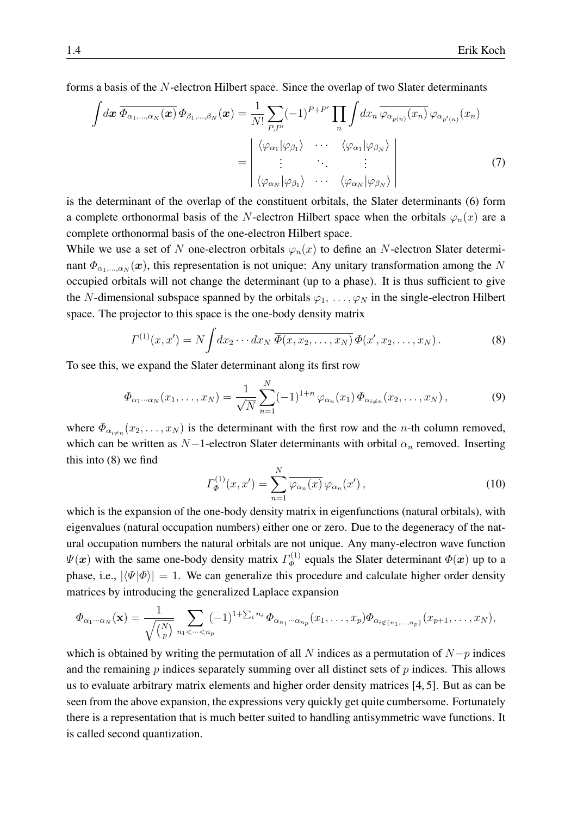forms a basis of the N-electron Hilbert space. Since the overlap of two Slater determinants

<span id="page-3-1"></span>
$$
\int dx \, \overline{\Phi_{\alpha_1,\dots,\alpha_N}(x)} \, \Phi_{\beta_1,\dots,\beta_N}(x) = \frac{1}{N!} \sum_{P,P'} (-1)^{P+P'} \prod_n \int dx_n \, \overline{\varphi_{\alpha_{p(n)}}(x_n)} \, \varphi_{\alpha_{p'(n)}}(x_n)
$$
\n
$$
= \begin{vmatrix}\n\langle \varphi_{\alpha_1} | \varphi_{\beta_1} \rangle & \cdots & \langle \varphi_{\alpha_1} | \varphi_{\beta_N} \rangle \\
\vdots & \ddots & \vdots \\
\langle \varphi_{\alpha_N} | \varphi_{\beta_1} \rangle & \cdots & \langle \varphi_{\alpha_N} | \varphi_{\beta_N} \rangle\n\end{vmatrix}
$$
\n(7)

is the determinant of the overlap of the constituent orbitals, the Slater determinants [\(6\)](#page-2-0) form a complete orthonormal basis of the N-electron Hilbert space when the orbitals  $\varphi_n(x)$  are a complete orthonormal basis of the one-electron Hilbert space.

While we use a set of N one-electron orbitals  $\varphi_n(x)$  to define an N-electron Slater determinant  $\Phi_{\alpha_1,...,\alpha_N}(\bm x)$ , this representation is not unique: Any unitary transformation among the N occupied orbitals will not change the determinant (up to a phase). It is thus sufficient to give the N-dimensional subspace spanned by the orbitals  $\varphi_1, \ldots, \varphi_N$  in the single-electron Hilbert space. The projector to this space is the one-body density matrix

<span id="page-3-0"></span>
$$
\Gamma^{(1)}(x,x') = N \int dx_2 \cdots dx_N \, \overline{\Phi(x,x_2,\ldots,x_N)} \, \Phi(x',x_2,\ldots,x_N) \, . \tag{8}
$$

To see this, we expand the Slater determinant along its first row

$$
\Phi_{\alpha_1 \cdots \alpha_N}(x_1, \ldots, x_N) = \frac{1}{\sqrt{N}} \sum_{n=1}^N (-1)^{1+n} \varphi_{\alpha_n}(x_1) \Phi_{\alpha_{i \neq n}}(x_2, \ldots, x_N), \tag{9}
$$

where  $\Phi_{\alpha_{i\neq n}}(x_2,\ldots,x_N)$  is the determinant with the first row and the *n*-th column removed, which can be written as  $N-1$ -electron Slater determinants with orbital  $\alpha_n$  removed. Inserting this into [\(8\)](#page-3-0) we find

$$
\Gamma_{\Phi}^{(1)}(x, x') = \sum_{n=1}^{N} \overline{\varphi_{\alpha_n}(x)} \varphi_{\alpha_n}(x'), \qquad (10)
$$

which is the expansion of the one-body density matrix in eigenfunctions (natural orbitals), with eigenvalues (natural occupation numbers) either one or zero. Due to the degeneracy of the natural occupation numbers the natural orbitals are not unique. Any many-electron wave function  $\Psi(\boldsymbol{x})$  with the same one-body density matrix  $\Gamma_{\boldsymbol{\phi}}^{(1)}$  $\Phi_{\Phi}^{(1)}$  equals the Slater determinant  $\Phi(\boldsymbol{x})$  up to a phase, i.e.,  $|\langle \Psi | \Phi \rangle| = 1$ . We can generalize this procedure and calculate higher order density matrices by introducing the generalized Laplace expansion

$$
\Phi_{\alpha_1\cdots\alpha_N}(\mathbf{x})=\frac{1}{\sqrt{\binom{N}{p}}}\sum_{n_1<\cdots
$$

which is obtained by writing the permutation of all N indices as a permutation of  $N-p$  indices and the remaining  $p$  indices separately summing over all distinct sets of  $p$  indices. This allows us to evaluate arbitrary matrix elements and higher order density matrices [\[4,](#page-28-3) [5\]](#page-28-4). But as can be seen from the above expansion, the expressions very quickly get quite cumbersome. Fortunately there is a representation that is much better suited to handling antisymmetric wave functions. It is called second quantization.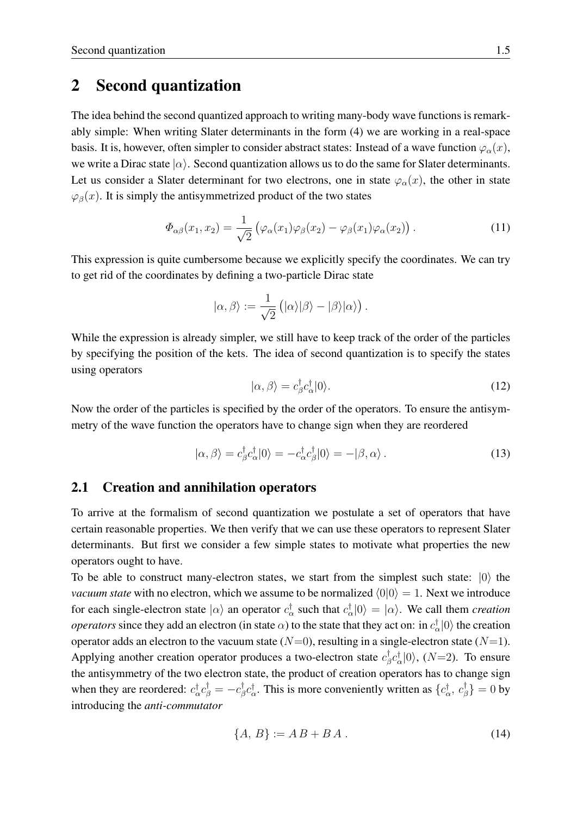## <span id="page-4-0"></span>2 Second quantization

The idea behind the second quantized approach to writing many-body wave functions is remarkably simple: When writing Slater determinants in the form [\(4\)](#page-2-1) we are working in a real-space basis. It is, however, often simpler to consider abstract states: Instead of a wave function  $\varphi_{\alpha}(x)$ , we write a Dirac state  $|\alpha\rangle$ . Second quantization allows us to do the same for Slater determinants. Let us consider a Slater determinant for two electrons, one in state  $\varphi_{\alpha}(x)$ , the other in state  $\varphi_{\beta}(x)$ . It is simply the antisymmetrized product of the two states

$$
\Phi_{\alpha\beta}(x_1, x_2) = \frac{1}{\sqrt{2}} \left( \varphi_\alpha(x_1) \varphi_\beta(x_2) - \varphi_\beta(x_1) \varphi_\alpha(x_2) \right). \tag{11}
$$

This expression is quite cumbersome because we explicitly specify the coordinates. We can try to get rid of the coordinates by defining a two-particle Dirac state

$$
|\alpha,\beta\rangle:=\frac{1}{\sqrt{2}}\left(|\alpha\rangle|\beta\rangle-|\beta\rangle|\alpha\rangle\right).
$$

While the expression is already simpler, we still have to keep track of the order of the particles by specifying the position of the kets. The idea of second quantization is to specify the states using operators

$$
|\alpha,\beta\rangle = c_{\beta}^{\dagger}c_{\alpha}^{\dagger}|0\rangle. \tag{12}
$$

Now the order of the particles is specified by the order of the operators. To ensure the antisymmetry of the wave function the operators have to change sign when they are reordered

$$
|\alpha,\beta\rangle = c_{\beta}^{\dagger} c_{\alpha}^{\dagger} |0\rangle = -c_{\alpha}^{\dagger} c_{\beta}^{\dagger} |0\rangle = -|\beta,\alpha\rangle.
$$
 (13)

#### <span id="page-4-1"></span>2.1 Creation and annihilation operators

To arrive at the formalism of second quantization we postulate a set of operators that have certain reasonable properties. We then verify that we can use these operators to represent Slater determinants. But first we consider a few simple states to motivate what properties the new operators ought to have.

To be able to construct many-electron states, we start from the simplest such state:  $|0\rangle$  the *vacuum state* with no electron, which we assume to be normalized  $\langle 0|0 \rangle = 1$ . Next we introduce for each single-electron state  $|\alpha\rangle$  an operator  $c_{\alpha}^{\dagger}$  such that  $c_{\alpha}^{\dagger}|0\rangle = |\alpha\rangle$ . We call them *creation operators* since they add an electron (in state  $\alpha$ ) to the state that they act on: in  $c_{\alpha}^{\dagger} |0\rangle$  the creation operator adds an electron to the vacuum state  $(N=0)$ , resulting in a single-electron state  $(N=1)$ . Applying another creation operator produces a two-electron state  $c_{\beta}^{\dagger}$  $\int_{\beta}^{\dagger} c_{\alpha}^{\dagger} |0\rangle$ , (N=2). To ensure the antisymmetry of the two electron state, the product of creation operators has to change sign when they are reordered:  $c_{\alpha}^{\dagger} c_{\beta}^{\dagger} = -c_{\beta}^{\dagger}$  ${}^{\dagger}_{\beta}c_{\alpha}^{\dagger}$ . This is more conveniently written as  $\{c_{\alpha}^{\dagger}, c_{\beta}^{\dagger}\}$  $\left\{\begin{smallmatrix} \mathsf{I} \ \beta \end{smallmatrix}\right\} = 0$  by introducing the *anti-commutator*

$$
\{A, B\} := A B + B A. \tag{14}
$$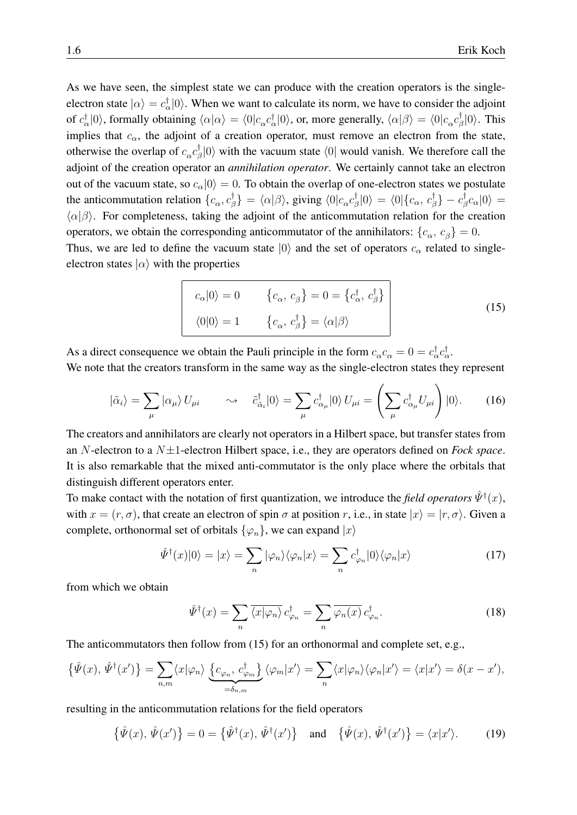As we have seen, the simplest state we can produce with the creation operators is the singleelectron state  $|\alpha\rangle = c_{\alpha}^{\dagger} |0\rangle$ . When we want to calculate its norm, we have to consider the adjoint of  $c_{\alpha}^{\dagger}|0\rangle$ , formally obtaining  $\langle \alpha|\alpha\rangle = \langle 0|c_{\alpha}c_{\alpha}^{\dagger}|0\rangle$ , or, more generally,  $\langle \alpha|\beta\rangle = \langle 0|c_{\alpha}c_{\beta}^{\dagger}$  $\frac{1}{\beta}|0\rangle$ . This implies that  $c_{\alpha}$ , the adjoint of a creation operator, must remove an electron from the state, otherwise the overlap of  $c_{\alpha}c_{\beta}^{\dagger}$  $\binom{1}{\beta}$  (0) with the vacuum state  $\langle 0|$  would vanish. We therefore call the adjoint of the creation operator an *annihilation operator*. We certainly cannot take an electron out of the vacuum state, so  $c_{\alpha}|0\rangle = 0$ . To obtain the overlap of one-electron states we postulate the anticommutation relation  $\{c_\alpha, c_\beta^\dagger\}$  $\langle \phi_{\beta}^{\dagger} \rangle = \langle \alpha | \beta \rangle$ , giving  $\langle 0 | c_{\alpha} c_{\beta}^{\dagger} \rangle$  $\sigma_{\beta}^{\dagger}|0\rangle\,=\,\langle0|\{c_{\alpha},\,c_{\beta}^{\dagger}% |\hat{b}_{\alpha},\,c_{\beta}^{\dagger}% |\hat{b}_{\alpha},\,c_{\beta}^{\dagger}% |\hat{c}_{\beta},\,c_{\beta}^{\dagger}% |\hat{c}_{\beta},\,c_{\beta}^{\dagger}% |\hat{c}_{\beta},\,c_{\beta}^{\dagger}% |\hat{c}_{\beta},\,c_{\beta}^{\dagger}% |\hat{c}_{\beta},\,c_{\beta}^{\dagger}% |\hat{c}_{\beta},\,c_{\beta}^{\dagger}% |\hat{c}_{\beta},\,c_{\beta}^{\dagger}% |\$  $_{\beta }^{\dagger }\} -c_{\beta }^{\dagger }$  $^{\text{\tiny T}}_{\beta} c_{\alpha} |0\rangle =$  $\langle \alpha | \beta \rangle$ . For completeness, taking the adjoint of the anticommutation relation for the creation operators, we obtain the corresponding anticommutator of the annihilators:  $\{c_{\alpha}, c_{\beta}\} = 0$ . Thus, we are led to define the vacuum state  $|0\rangle$  and the set of operators  $c_{\alpha}$  related to singleelectron states  $|\alpha\rangle$  with the properties

<span id="page-5-0"></span>
$$
c_{\alpha}|0\rangle = 0 \qquad \{c_{\alpha}, c_{\beta}\} = 0 = \{c_{\alpha}^{\dagger}, c_{\beta}^{\dagger}\}\
$$
  

$$
\langle 0|0\rangle = 1 \qquad \{c_{\alpha}, c_{\beta}^{\dagger}\} = \langle \alpha|\beta\rangle
$$
 (15)

As a direct consequence we obtain the Pauli principle in the form  $c_{\alpha}c_{\alpha} = 0 = c_{\alpha}^{\dagger}c_{\alpha}^{\dagger}$ . We note that the creators transform in the same way as the single-electron states they represent

<span id="page-5-1"></span>
$$
|\tilde{\alpha}_i\rangle = \sum_{\mu} |\alpha_{\mu}\rangle U_{\mu i} \qquad \leadsto \quad \tilde{c}^{\dagger}_{\tilde{\alpha}_i}|0\rangle = \sum_{\mu} c^{\dagger}_{\alpha_{\mu}}|0\rangle U_{\mu i} = \left(\sum_{\mu} c^{\dagger}_{\alpha_{\mu}} U_{\mu i}\right)|0\rangle. \tag{16}
$$

The creators and annihilators are clearly not operators in a Hilbert space, but transfer states from an N-electron to a N±1-electron Hilbert space, i.e., they are operators defined on *Fock space*. It is also remarkable that the mixed anti-commutator is the only place where the orbitals that distinguish different operators enter.

To make contact with the notation of first quantization, we introduce the *field operators*  $\hat{\psi}^{\dagger}(x)$ , with  $x = (r, \sigma)$ , that create an electron of spin  $\sigma$  at position r, i.e., in state  $|x\rangle = |r, \sigma\rangle$ . Given a complete, orthonormal set of orbitals  $\{\varphi_n\}$ , we can expand  $|x\rangle$ 

$$
\hat{\Psi}^{\dagger}(x)|0\rangle = |x\rangle = \sum_{n} |\varphi_{n}\rangle\langle\varphi_{n}|x\rangle = \sum_{n} c_{\varphi_{n}}^{\dagger}|0\rangle\langle\varphi_{n}|x\rangle \tag{17}
$$

from which we obtain

$$
\hat{\Psi}^{\dagger}(x) = \sum_{n} \overline{\langle x | \varphi_n \rangle} \, c_{\varphi_n}^{\dagger} = \sum_{n} \overline{\varphi_n(x)} \, c_{\varphi_n}^{\dagger}.
$$
 (18)

The anticommutators then follow from [\(15\)](#page-5-0) for an orthonormal and complete set, e.g.,

$$
\{\hat{\Psi}(x),\,\hat{\Psi}^{\dagger}(x')\} = \sum_{n,m} \langle x|\varphi_n\rangle \underbrace{\{c_{\varphi_n},\,c^{\dagger}_{\varphi_m}\}}_{=\delta_{n,m}} \langle \varphi_m|x'\rangle = \sum_n \langle x|\varphi_n\rangle \langle \varphi_n|x'\rangle = \langle x|x'\rangle = \delta(x-x'),
$$

resulting in the anticommutation relations for the field operators

$$
\{\hat{\Psi}(x),\,\hat{\Psi}(x')\}=0=\{\hat{\Psi}^{\dagger}(x),\,\hat{\Psi}^{\dagger}(x')\}\quad\text{and}\quad\{\hat{\Psi}(x),\,\hat{\Psi}^{\dagger}(x')\}=\langle x|x'\rangle.\tag{19}
$$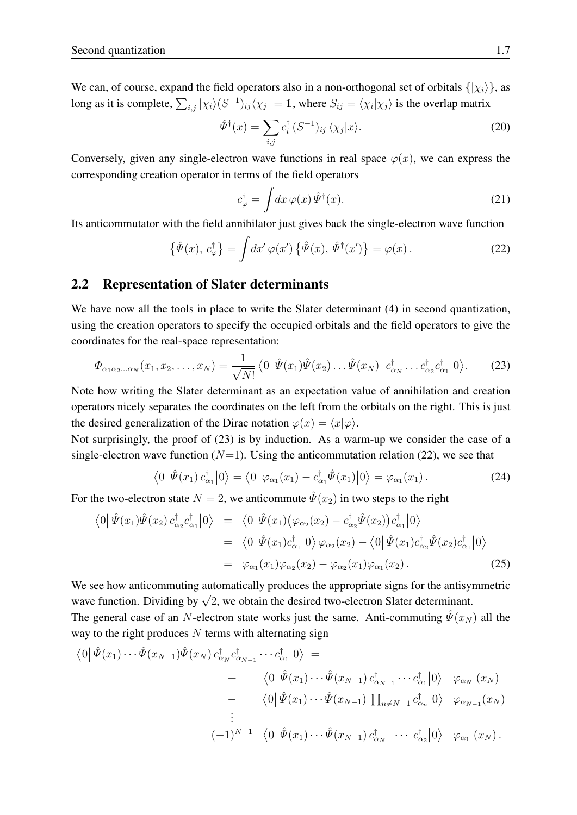We can, of course, expand the field operators also in a non-orthogonal set of orbitals  $\{|\chi_i\rangle\}$ , as long as it is complete,  $\sum_{i,j} |\chi_i\rangle (S^{-1})_{ij} \langle \chi_j| = 1$ , where  $S_{ij} = \langle \chi_i | \chi_j \rangle$  is the overlap matrix

$$
\hat{\Psi}^{\dagger}(x) = \sum_{i,j} c_i^{\dagger} (S^{-1})_{ij} \langle \chi_j | x \rangle.
$$
 (20)

Conversely, given any single-electron wave functions in real space  $\varphi(x)$ , we can express the corresponding creation operator in terms of the field operators

$$
c_{\varphi}^{\dagger} = \int dx \,\varphi(x) \,\hat{\Psi}^{\dagger}(x). \tag{21}
$$

Its anticommutator with the field annihilator just gives back the single-electron wave function

<span id="page-6-2"></span>
$$
\{\hat{\Psi}(x),\,c_{\varphi}^{\dagger}\} = \int dx' \,\varphi(x')\left\{\hat{\Psi}(x),\,\hat{\Psi}^{\dagger}(x')\right\} = \varphi(x)\,.
$$
 (22)

#### <span id="page-6-0"></span>2.2 Representation of Slater determinants

We have now all the tools in place to write the Slater determinant [\(4\)](#page-2-1) in second quantization, using the creation operators to specify the occupied orbitals and the field operators to give the coordinates for the real-space representation:

<span id="page-6-1"></span>
$$
\Phi_{\alpha_1\alpha_2\ldots\alpha_N}(x_1, x_2, \ldots, x_N) = \frac{1}{\sqrt{N!}} \left\langle 0 \left| \hat{\Psi}(x_1) \hat{\Psi}(x_2) \ldots \hat{\Psi}(x_N) \right| c_{\alpha_N}^\dagger \ldots c_{\alpha_2}^\dagger c_{\alpha_1}^\dagger \right| 0 \right\rangle. \tag{23}
$$

Note how writing the Slater determinant as an expectation value of annihilation and creation operators nicely separates the coordinates on the left from the orbitals on the right. This is just the desired generalization of the Dirac notation  $\varphi(x) = \langle x | \varphi \rangle$ .

Not surprisingly, the proof of [\(23\)](#page-6-1) is by induction. As a warm-up we consider the case of a single-electron wave function  $(N=1)$ . Using the anticommutation relation [\(22\)](#page-6-2), we see that

$$
\langle 0|\hat{\Psi}(x_1)\,c_{\alpha_1}^{\dagger}|0\rangle = \langle 0|\,\varphi_{\alpha_1}(x_1) - c_{\alpha_1}^{\dagger}\hat{\Psi}(x_1)|0\rangle = \varphi_{\alpha_1}(x_1)\,. \tag{24}
$$

For the two-electron state  $N = 2$ , we anticommute  $\hat{\Psi}(x_2)$  in two steps to the right

$$
\langle 0 | \hat{\Psi}(x_1) \hat{\Psi}(x_2) c_{\alpha_2}^{\dagger} c_{\alpha_1}^{\dagger} | 0 \rangle = \langle 0 | \hat{\Psi}(x_1) (\varphi_{\alpha_2}(x_2) - c_{\alpha_2}^{\dagger} \hat{\Psi}(x_2)) c_{\alpha_1}^{\dagger} | 0 \rangle
$$
  
\n
$$
= \langle 0 | \hat{\Psi}(x_1) c_{\alpha_1}^{\dagger} | 0 \rangle \varphi_{\alpha_2}(x_2) - \langle 0 | \hat{\Psi}(x_1) c_{\alpha_2}^{\dagger} \hat{\Psi}(x_2) c_{\alpha_1}^{\dagger} | 0 \rangle
$$
  
\n
$$
= \varphi_{\alpha_1}(x_1) \varphi_{\alpha_2}(x_2) - \varphi_{\alpha_2}(x_1) \varphi_{\alpha_1}(x_2).
$$
 (25)

We see how anticommuting automatically produces the appropriate signs for the antisymmetric we see now anticommuting automatically produces the appropriate signs for the antisym<br>wave function. Dividing by  $\sqrt{2}$ , we obtain the desired two-electron Slater determinant. The general case of an N-electron state works just the same. Anti-commuting  $\hat{\Psi}(x_N)$  all the way to the right produces  $N$  terms with alternating sign

$$
\langle 0|\hat{\Psi}(x_1)\cdots\hat{\Psi}(x_{N-1})\hat{\Psi}(x_N) c^{\dagger}_{\alpha_N} c^{\dagger}_{\alpha_{N-1}}\cdots c^{\dagger}_{\alpha_1}|0\rangle =
$$
  
+ 
$$
\langle 0|\hat{\Psi}(x_1)\cdots\hat{\Psi}(x_{N-1}) c^{\dagger}_{\alpha_{N-1}}\cdots c^{\dagger}_{\alpha_1}|0\rangle \varphi_{\alpha_N}(x_N)
$$
  
- 
$$
\langle 0|\hat{\Psi}(x_1)\cdots\hat{\Psi}(x_{N-1}) \prod_{n\neq N-1} c^{\dagger}_{\alpha_n}|0\rangle \varphi_{\alpha_{N-1}}(x_N)
$$
  
...  

$$
(-1)^{N-1} \langle 0|\hat{\Psi}(x_1)\cdots\hat{\Psi}(x_{N-1}) c^{\dagger}_{\alpha_N} \cdots c^{\dagger}_{\alpha_2}|0\rangle \varphi_{\alpha_1}(x_N).
$$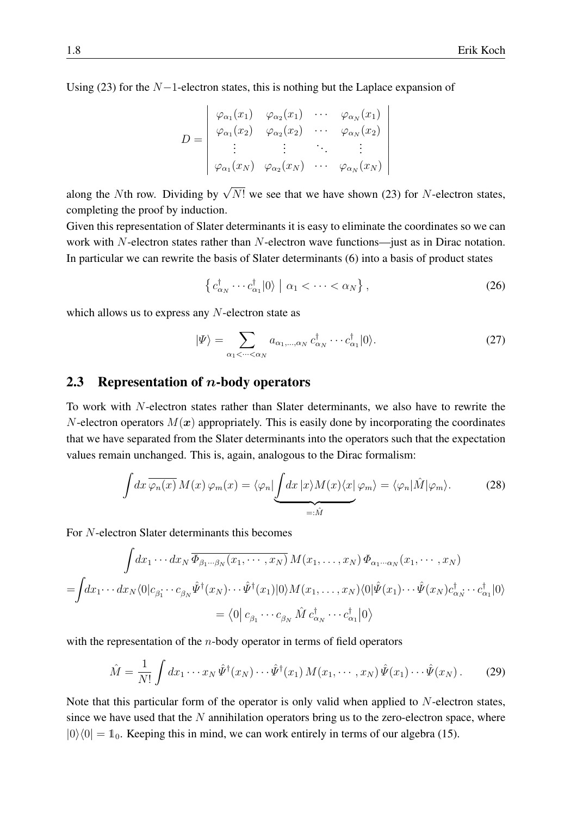Using [\(23\)](#page-6-1) for the  $N-1$ -electron states, this is nothing but the Laplace expansion of

$$
D = \begin{pmatrix} \varphi_{\alpha_1}(x_1) & \varphi_{\alpha_2}(x_1) & \cdots & \varphi_{\alpha_N}(x_1) \\ \varphi_{\alpha_1}(x_2) & \varphi_{\alpha_2}(x_2) & \cdots & \varphi_{\alpha_N}(x_2) \\ \vdots & \vdots & \ddots & \vdots \\ \varphi_{\alpha_1}(x_N) & \varphi_{\alpha_2}(x_N) & \cdots & \varphi_{\alpha_N}(x_N) \end{pmatrix}
$$

along the Nth row. Dividing by  $\sqrt{N!}$  we see that we have shown [\(23\)](#page-6-1) for N-electron states, completing the proof by induction.

Given this representation of Slater determinants it is easy to eliminate the coordinates so we can work with N-electron states rather than N-electron wave functions—just as in Dirac notation. In particular we can rewrite the basis of Slater determinants [\(6\)](#page-2-0) into a basis of product states

$$
\left\{c_{\alpha_N}^{\dagger} \cdots c_{\alpha_1}^{\dagger} |0\rangle \mid \alpha_1 < \cdots < \alpha_N\right\},\tag{26}
$$

which allows us to express any  $N$ -electron state as

$$
|\Psi\rangle = \sum_{\alpha_1 < \dots < \alpha_N} a_{\alpha_1, \dots, \alpha_N} \, c^{\dagger}_{\alpha_N} \cdots c^{\dagger}_{\alpha_1} |0\rangle. \tag{27}
$$

#### <span id="page-7-0"></span>2.3 Representation of  $n$ -body operators

To work with N-electron states rather than Slater determinants, we also have to rewrite the N-electron operators  $M(x)$  appropriately. This is easily done by incorporating the coordinates that we have separated from the Slater determinants into the operators such that the expectation values remain unchanged. This is, again, analogous to the Dirac formalism:

$$
\int dx \,\overline{\varphi_n(x)}\,M(x)\,\varphi_m(x) = \langle \varphi_n | \underbrace{\int dx \, |x \rangle M(x) \langle x | \varphi_m \rangle}_{=: \hat{M}} = \langle \varphi_n | \hat{M} | \varphi_m \rangle. \tag{28}
$$

For N-electron Slater determinants this becomes

$$
\int dx_1 \cdots dx_N \overline{\Phi_{\beta_1 \cdots \beta_N}(x_1, \cdots, x_N)} M(x_1, \ldots, x_N) \Phi_{\alpha_1 \cdots \alpha_N}(x_1, \cdots, x_N)
$$
  
= 
$$
\int dx_1 \cdots dx_N \langle 0| c_{\beta_1} \cdots c_{\beta_N} \hat{\Psi}^{\dagger}(x_N) \cdots \hat{\Psi}^{\dagger}(x_1) | 0 \rangle M(x_1, \ldots, x_N) \langle 0| \hat{\Psi}(x_1) \cdots \hat{\Psi}(x_N) c_{\alpha_N}^{\dagger} \cdots c_{\alpha_1}^{\dagger} | 0 \rangle
$$
  
= 
$$
\langle 0| c_{\beta_1} \cdots c_{\beta_N} \hat{M} c_{\alpha_N}^{\dagger} \cdots c_{\alpha_1}^{\dagger} | 0 \rangle
$$

with the representation of the  $n$ -body operator in terms of field operators

<span id="page-7-1"></span>
$$
\hat{M} = \frac{1}{N!} \int dx_1 \cdots x_N \hat{\Psi}^\dagger(x_N) \cdots \hat{\Psi}^\dagger(x_1) M(x_1, \cdots, x_N) \hat{\Psi}(x_1) \cdots \hat{\Psi}(x_N).
$$
 (29)

Note that this particular form of the operator is only valid when applied to  $N$ -electron states, since we have used that the  $N$  annihilation operators bring us to the zero-electron space, where  $|0\rangle\langle 0| = 1$ <sub>0</sub>. Keeping this in mind, we can work entirely in terms of our algebra [\(15\)](#page-5-0).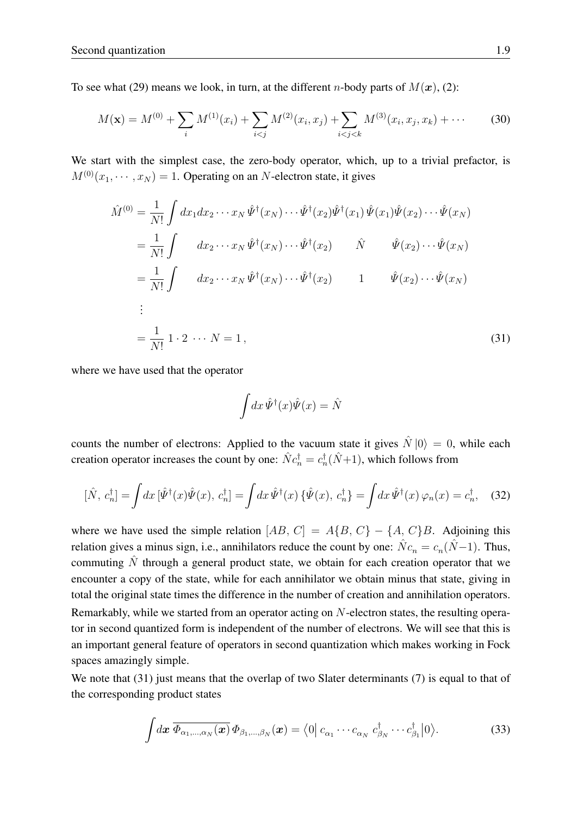To see what [\(29\)](#page-7-1) means we look, in turn, at the different *n*-body parts of  $M(\mathbf{x})$ , [\(2\)](#page-1-1):

<span id="page-8-1"></span>
$$
M(\mathbf{x}) = M^{(0)} + \sum_{i} M^{(1)}(x_i) + \sum_{i < j} M^{(2)}(x_i, x_j) + \sum_{i < j < k} M^{(3)}(x_i, x_j, x_k) + \cdots \tag{30}
$$

We start with the simplest case, the zero-body operator, which, up to a trivial prefactor, is  $M^{(0)}(x_1, \dots, x_N) = 1$ . Operating on an N-electron state, it gives

$$
\hat{M}^{(0)} = \frac{1}{N!} \int dx_1 dx_2 \cdots x_N \hat{\Psi}^{\dagger}(x_N) \cdots \hat{\Psi}^{\dagger}(x_2) \hat{\Psi}^{\dagger}(x_1) \hat{\Psi}(x_1) \hat{\Psi}(x_2) \cdots \hat{\Psi}(x_N)
$$
\n
$$
= \frac{1}{N!} \int dx_2 \cdots x_N \hat{\Psi}^{\dagger}(x_N) \cdots \hat{\Psi}^{\dagger}(x_2) \qquad \hat{N} \qquad \hat{\Psi}(x_2) \cdots \hat{\Psi}(x_N)
$$
\n
$$
= \frac{1}{N!} \int dx_2 \cdots x_N \hat{\Psi}^{\dagger}(x_N) \cdots \hat{\Psi}^{\dagger}(x_2) \qquad 1 \qquad \hat{\Psi}(x_2) \cdots \hat{\Psi}(x_N)
$$
\n
$$
\vdots
$$
\n
$$
= \frac{1}{N!} 1 \cdot 2 \cdots N = 1,
$$
\n(31)

where we have used that the operator

<span id="page-8-0"></span>
$$
\int dx \,\hat{\Psi}^{\dagger}(x)\hat{\Psi}(x) = \hat{N}
$$

counts the number of electrons: Applied to the vacuum state it gives  $\hat{N} |0\rangle = 0$ , while each creation operator increases the count by one:  $\hat{N}c_n^{\dagger} = c_n^{\dagger}(\hat{N}+1)$ , which follows from

$$
[\hat{N}, c_n^{\dagger}] = \int dx \, [\hat{\Psi}^{\dagger}(x)\hat{\Psi}(x), c_n^{\dagger}] = \int dx \, \hat{\Psi}^{\dagger}(x) \, \{\hat{\Psi}(x), c_n^{\dagger}\} = \int dx \, \hat{\Psi}^{\dagger}(x) \, \varphi_n(x) = c_n^{\dagger}, \quad (32)
$$

where we have used the simple relation  $[AB, C] = A{B, C} - {A, C}B$ . Adjoining this relation gives a minus sign, i.e., annihilators reduce the count by one:  $\hat{N}c_n = c_n(\hat{N}-1)$ . Thus, commuting  $\hat{N}$  through a general product state, we obtain for each creation operator that we encounter a copy of the state, while for each annihilator we obtain minus that state, giving in total the original state times the difference in the number of creation and annihilation operators. Remarkably, while we started from an operator acting on N-electron states, the resulting operator in second quantized form is independent of the number of electrons. We will see that this is an important general feature of operators in second quantization which makes working in Fock spaces amazingly simple.

We note that [\(31\)](#page-8-0) just means that the overlap of two Slater determinants [\(7\)](#page-3-1) is equal to that of the corresponding product states

<span id="page-8-2"></span>
$$
\int d\boldsymbol{x} \, \overline{\Phi_{\alpha_1,\ldots,\alpha_N}(\boldsymbol{x})} \, \Phi_{\beta_1,\ldots,\beta_N}(\boldsymbol{x}) = \langle 0 | c_{\alpha_1} \cdots c_{\alpha_N} \, c_{\beta_N}^{\dagger} \cdots c_{\beta_1}^{\dagger} | 0 \rangle. \tag{33}
$$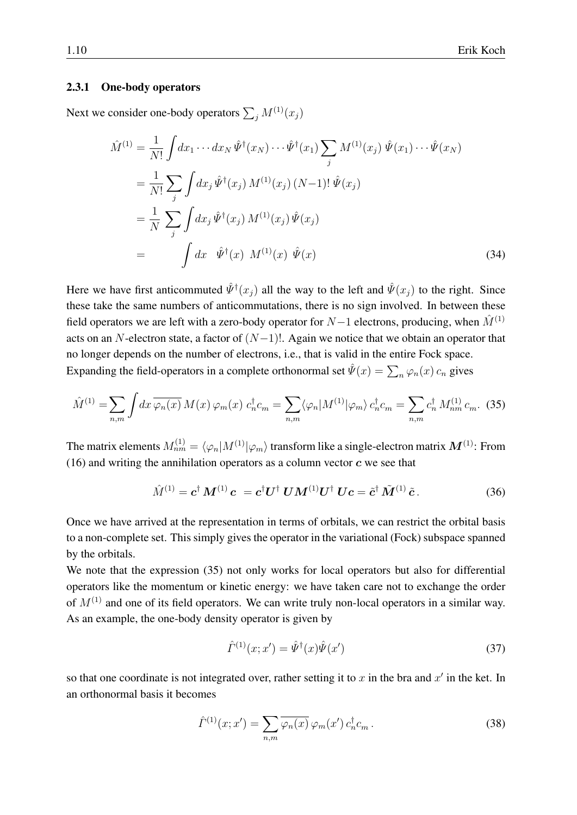#### 2.3.1 One-body operators

Next we consider one-body operators  $\sum_j M^{(1)}(x_j)$ 

$$
\hat{M}^{(1)} = \frac{1}{N!} \int dx_1 \cdots dx_N \hat{\Psi}^{\dagger}(x_N) \cdots \hat{\Psi}^{\dagger}(x_1) \sum_j M^{(1)}(x_j) \hat{\Psi}(x_1) \cdots \hat{\Psi}(x_N)
$$
\n
$$
= \frac{1}{N!} \sum_j \int dx_j \hat{\Psi}^{\dagger}(x_j) M^{(1)}(x_j) (N-1)! \hat{\Psi}(x_j)
$$
\n
$$
= \frac{1}{N} \sum_j \int dx_j \hat{\Psi}^{\dagger}(x_j) M^{(1)}(x_j) \hat{\Psi}(x_j)
$$
\n
$$
= \int dx \hat{\Psi}^{\dagger}(x) M^{(1)}(x) \hat{\Psi}(x)
$$
\n(34)

Here we have first anticommuted  $\hat{\psi}^{\dagger}(x_j)$  all the way to the left and  $\hat{\psi}(x_j)$  to the right. Since these take the same numbers of anticommutations, there is no sign involved. In between these field operators we are left with a zero-body operator for  $N-1$  electrons, producing, when  $\tilde{M}^{(1)}$ acts on an N-electron state, a factor of  $(N-1)!$ . Again we notice that we obtain an operator that no longer depends on the number of electrons, i.e., that is valid in the entire Fock space. Expanding the field-operators in a complete orthonormal set  $\hat{\Psi}(x) = \sum_n \varphi_n(x) c_n$  gives

<span id="page-9-0"></span>
$$
\hat{M}^{(1)} = \sum_{n,m} \int dx \, \overline{\varphi_n(x)} \, M(x) \, \varphi_m(x) \, c_n^{\dagger} c_m = \sum_{n,m} \langle \varphi_n | M^{(1)} | \varphi_m \rangle \, c_n^{\dagger} c_m = \sum_{n,m} c_n^{\dagger} \, M_{nm}^{(1)} \, c_m. \tag{35}
$$

The matrix elements  $M^{(1)}_{nm}=\langle\varphi_n|M^{(1)}|\varphi_m\rangle$  transform like a single-electron matrix  $\bm{M}^{(1)}$ : From [\(16\)](#page-5-1) and writing the annihilation operators as a column vector  $c$  we see that

$$
\hat{M}^{(1)} = \mathbf{c}^{\dagger} \mathbf{M}^{(1)} \mathbf{c} = \mathbf{c}^{\dagger} \mathbf{U}^{\dagger} \mathbf{U} \mathbf{M}^{(1)} \mathbf{U}^{\dagger} \mathbf{U} \mathbf{c} = \tilde{\mathbf{c}}^{\dagger} \tilde{\mathbf{M}}^{(1)} \tilde{\mathbf{c}}.
$$
 (36)

Once we have arrived at the representation in terms of orbitals, we can restrict the orbital basis to a non-complete set. This simply gives the operator in the variational (Fock) subspace spanned by the orbitals.

We note that the expression [\(35\)](#page-9-0) not only works for local operators but also for differential operators like the momentum or kinetic energy: we have taken care not to exchange the order of  $M^{(1)}$  and one of its field operators. We can write truly non-local operators in a similar way. As an example, the one-body density operator is given by

$$
\hat{\Gamma}^{(1)}(x; x') = \hat{\Psi}^{\dagger}(x)\hat{\Psi}(x')
$$
\n(37)

so that one coordinate is not integrated over, rather setting it to x in the bra and  $x'$  in the ket. In an orthonormal basis it becomes

$$
\hat{\Gamma}^{(1)}(x;x') = \sum_{n,m} \overline{\varphi_n(x)} \,\varphi_m(x') \,c_n^{\dagger} c_m \,. \tag{38}
$$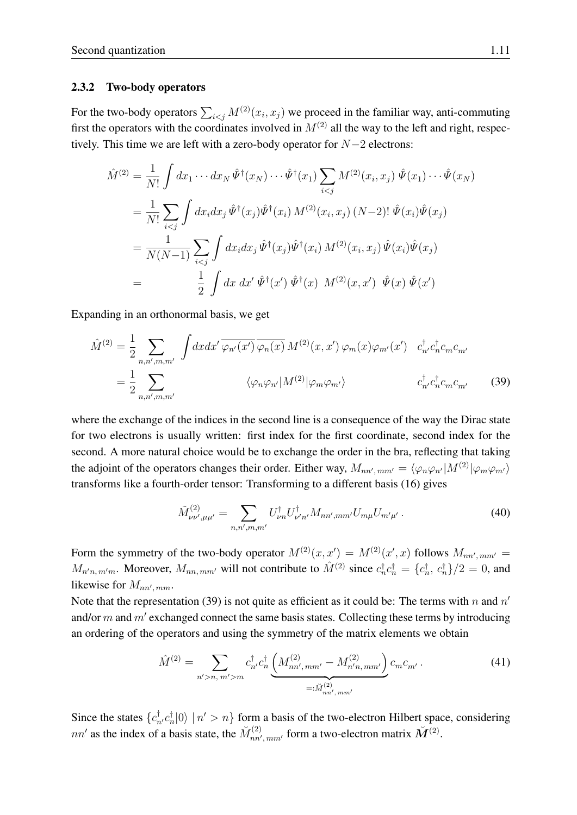#### 2.3.2 Two-body operators

For the two-body operators  $\sum_{i \le j} M^{(2)}(x_i, x_j)$  we proceed in the familiar way, anti-commuting first the operators with the coordinates involved in  $M^{(2)}$  all the way to the left and right, respectively. This time we are left with a zero-body operator for  $N-2$  electrons:

$$
\hat{M}^{(2)} = \frac{1}{N!} \int dx_1 \cdots dx_N \hat{\Psi}^{\dagger}(x_N) \cdots \hat{\Psi}^{\dagger}(x_1) \sum_{i < j} M^{(2)}(x_i, x_j) \hat{\Psi}(x_1) \cdots \hat{\Psi}(x_N)
$$
\n
$$
= \frac{1}{N!} \sum_{i < j} \int dx_i dx_j \hat{\Psi}^{\dagger}(x_j) \hat{\Psi}^{\dagger}(x_i) M^{(2)}(x_i, x_j) (N-2)! \hat{\Psi}(x_i) \hat{\Psi}(x_j)
$$
\n
$$
= \frac{1}{N(N-1)} \sum_{i < j} \int dx_i dx_j \hat{\Psi}^{\dagger}(x_j) \hat{\Psi}^{\dagger}(x_i) M^{(2)}(x_i, x_j) \hat{\Psi}(x_i) \hat{\Psi}(x_j)
$$
\n
$$
= \frac{1}{2} \int dx \, dx' \hat{\Psi}^{\dagger}(x') \hat{\Psi}^{\dagger}(x) M^{(2)}(x, x') \hat{\Psi}(x) \hat{\Psi}(x')
$$

Expanding in an orthonormal basis, we get

<span id="page-10-0"></span>
$$
\hat{M}^{(2)} = \frac{1}{2} \sum_{n,n',m,m'} \int dx dx' \overline{\varphi_{n'}(x')} \overline{\varphi_{n}(x)} M^{(2)}(x,x') \varphi_{m}(x) \varphi_{m'}(x') c_{n'}^{\dagger} c_{n}^{\dagger} c_{m} c_{m'}
$$
\n
$$
= \frac{1}{2} \sum_{n,n',m,m'} \langle \varphi_{n} \varphi_{n'} | M^{(2)} | \varphi_{m} \varphi_{m'} \rangle c_{n'}^{\dagger} c_{n}^{\dagger} c_{m} c_{m'} \qquad (39)
$$

where the exchange of the indices in the second line is a consequence of the way the Dirac state for two electrons is usually written: first index for the first coordinate, second index for the second. A more natural choice would be to exchange the order in the bra, reflecting that taking the adjoint of the operators changes their order. Either way,  $M_{nn',mm'} = \langle \varphi_n \varphi_{n'} | M^{(2)} | \varphi_m \varphi_{m'} \rangle$ transforms like a fourth-order tensor: Transforming to a different basis [\(16\)](#page-5-1) gives

$$
\tilde{M}^{(2)}_{\nu\nu',\mu\mu'} = \sum_{n,n',m,m'} U^{\dagger}_{\nu n} U^{\dagger}_{\nu' n'} M_{nn',mm'} U_{m\mu} U_{m'\mu'}.
$$
\n(40)

Form the symmetry of the two-body operator  $M^{(2)}(x, x') = M^{(2)}(x', x)$  follows  $M_{nn',mm'} =$  $M_{n'n, m'm}$ . Moreover,  $M_{nn, mm'}$  will not contribute to  $\hat{M}^{(2)}$  since  $c_n^{\dagger} c_n^{\dagger} = \{c_n^{\dagger}, c_n^{\dagger}\}/2 = 0$ , and likewise for  $M_{nn',mm}$ .

Note that the representation [\(39\)](#page-10-0) is not quite as efficient as it could be: The terms with n and  $n'$ and/or  $m$  and  $m'$  exchanged connect the same basis states. Collecting these terms by introducing an ordering of the operators and using the symmetry of the matrix elements we obtain

$$
\hat{M}^{(2)} = \sum_{n' > n, m' > m} c_{n'}^{\dagger} c_n^{\dagger} \underbrace{\left( M_{nn',mm'}^{(2)} - M_{n'n,mm'}^{(2)} \right)}_{=: \check{M}_{nn',mm'}^{(2)}} c_m c_{m'}.
$$
\n(41)

Since the states  $\{c_n^{\dagger}, c_n^{\dagger} | 0 \rangle \mid n' > n\}$  form a basis of the two-electron Hilbert space, considering  $nn'$  as the index of a basis state, the  $\widetilde{M}_{nn'}^{(2)}$  $\tilde{M}^{(2)}_{nn',mm'}$  form a two-electron matrix  $\tilde{M}^{(2)}$ .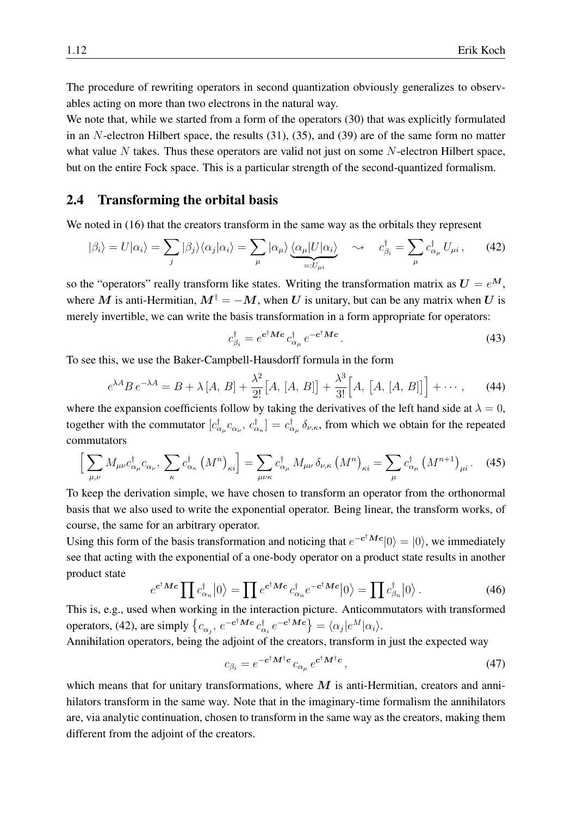The procedure of rewriting operators in second quantization obviously generalizes to observables acting on more than two electrons in the natural way.

We note that, while we started from a form of the operators [\(30\)](#page-8-1) that was explicitly formulated in an  $N$ -electron Hilbert space, the results  $(31)$ ,  $(35)$ , and  $(39)$  are of the same form no matter what value  $N$  takes. Thus these operators are valid not just on some  $N$ -electron Hilbert space, but on the entire Fock space. This is a particular strength of the second-quantized formalism.

#### <span id="page-11-0"></span>2.4 Transforming the orbital basis

We noted in [\(16\)](#page-5-1) that the creators transform in the same way as the orbitals they represent

<span id="page-11-1"></span>
$$
|\beta_i\rangle = U|\alpha_i\rangle = \sum_j |\beta_j\rangle \langle \alpha_j | \alpha_i \rangle = \sum_{\mu} |\alpha_{\mu}\rangle \underbrace{\langle \alpha_{\mu} | U | \alpha_i \rangle}_{=: U_{\mu i}} \quad \leadsto \quad c_{\beta_i}^{\dagger} = \sum_{\mu} c_{\alpha_{\mu}}^{\dagger} U_{\mu i} \,, \tag{42}
$$

so the "operators" really transform like states. Writing the transformation matrix as  $U = e^M$ , where M is anti-Hermitian,  $M^{\dagger} = -M$ , when U is unitary, but can be any matrix when U is merely invertible, we can write the basis transformation in a form appropriate for operators:

$$
c_{\beta_i}^{\dagger} = e^{\mathbf{c}^{\dagger} \mathbf{M} \mathbf{c}} c_{\alpha_\mu}^{\dagger} e^{-\mathbf{c}^{\dagger} \mathbf{M} \mathbf{c}}.
$$
 (43)

To see this, we use the Baker-Campbell-Hausdorff formula in the form

$$
e^{\lambda A} B e^{-\lambda A} = B + \lambda [A, B] + \frac{\lambda^2}{2!} [A, [A, B]] + \frac{\lambda^3}{3!} [A, [A, [A, B]]] + \cdots, \quad (44)
$$

where the expansion coefficients follow by taking the derivatives of the left hand side at  $\lambda = 0$ , together with the commutator  $[c_{\alpha_\mu}^{\dagger} c_{\alpha_\nu}, c_{\alpha_\kappa}^{\dagger}] = c_{\alpha_\mu}^{\dagger} \delta_{\nu,\kappa}$ , from which we obtain for the repeated commutators

$$
\left[\sum_{\mu,\nu} M_{\mu\nu} c^{\dagger}_{\alpha_{\mu}} c_{\alpha_{\nu}}, \sum_{\kappa} c^{\dagger}_{\alpha_{\kappa}} \left( M^{n} \right)_{\kappa i} \right] = \sum_{\mu\nu\kappa} c^{\dagger}_{\alpha_{\mu}} M_{\mu\nu} \, \delta_{\nu,\kappa} \left( M^{n} \right)_{\kappa i} = \sum_{\mu} c^{\dagger}_{\alpha_{\mu}} \left( M^{n+1} \right)_{\mu i} . \tag{45}
$$

To keep the derivation simple, we have chosen to transform an operator from the orthonormal basis that we also used to write the exponential operator. Being linear, the transform works, of course, the same for an arbitrary operator.

Using this form of the basis transformation and noticing that  $e^{-c^{\dagger}Mc}|0\rangle = |0\rangle$ , we immediately see that acting with the exponential of a one-body operator on a product state results in another product state

$$
e^{\mathbf{c}^\dagger \mathbf{M} \mathbf{c}} \prod c_{\alpha_n}^\dagger |0\rangle = \prod e^{\mathbf{c}^\dagger \mathbf{M} \mathbf{c}} c_{\alpha_n}^\dagger e^{-\mathbf{c}^\dagger \mathbf{M} \mathbf{c}} |0\rangle = \prod c_{\beta_n}^\dagger |0\rangle.
$$
 (46)

This is, e.g., used when working in the interaction picture. Anticommutators with transformed operators, [\(42\)](#page-11-1), are simply  $\{c_{\alpha_j}, e^{-c^\dagger M c} c_{\alpha_i}^{\dagger} e^{-c^\dagger M c}\} = \langle \alpha_j | e^M | \alpha_i \rangle$ .

Annihilation operators, being the adjoint of the creators, transform in just the expected way

$$
c_{\beta_i} = e^{-c^\dagger M^\dagger c} c_{\alpha_\mu} e^{c^\dagger M^\dagger c},\tag{47}
$$

which means that for unitary transformations, where  $M$  is anti-Hermitian, creators and annihilators transform in the same way. Note that in the imaginary-time formalism the annihilators are, via analytic continuation, chosen to transform in the same way as the creators, making them different from the adjoint of the creators.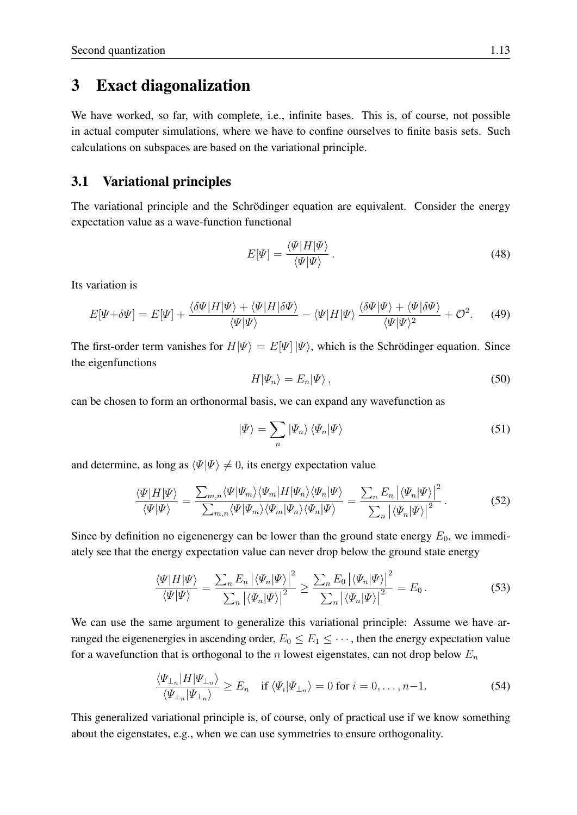## <span id="page-12-0"></span>3 Exact diagonalization

We have worked, so far, with complete, i.e., infinite bases. This is, of course, not possible in actual computer simulations, where we have to confine ourselves to finite basis sets. Such calculations on subspaces are based on the variational principle.

#### <span id="page-12-1"></span>3.1 Variational principles

The variational principle and the Schrödinger equation are equivalent. Consider the energy expectation value as a wave-function functional

$$
E[\Psi] = \frac{\langle \Psi | H | \Psi \rangle}{\langle \Psi | \Psi \rangle}.
$$
\n(48)

Its variation is

$$
E[\Psi + \delta \Psi] = E[\Psi] + \frac{\langle \delta \Psi | H | \Psi \rangle + \langle \Psi | H | \delta \Psi \rangle}{\langle \Psi | \Psi \rangle} - \langle \Psi | H | \Psi \rangle \frac{\langle \delta \Psi | \Psi \rangle + \langle \Psi | \delta \Psi \rangle}{\langle \Psi | \Psi \rangle^2} + \mathcal{O}^2. \tag{49}
$$

The first-order term vanishes for  $H|\Psi\rangle = E[\Psi] |\Psi\rangle$ , which is the Schrödinger equation. Since the eigenfunctions

$$
H|\Psi_n\rangle = E_n|\Psi\rangle\,,\tag{50}
$$

can be chosen to form an orthonormal basis, we can expand any wavefunction as

$$
|\Psi\rangle = \sum_{n} |\Psi_n\rangle \langle \Psi_n | \Psi \rangle \tag{51}
$$

and determine, as long as  $\langle \Psi | \Psi \rangle \neq 0$ , its energy expectation value

$$
\frac{\langle \Psi | H | \Psi \rangle}{\langle \Psi | \Psi \rangle} = \frac{\sum_{m,n} \langle \Psi | \Psi_m \rangle \langle \Psi_m | H | \Psi_n \rangle \langle \Psi_n | \Psi \rangle}{\sum_{m,n} \langle \Psi | \Psi_m \rangle \langle \Psi_m | \Psi_n \rangle \langle \Psi_n | \Psi \rangle} = \frac{\sum_n E_n \left| \langle \Psi_n | \Psi \rangle \right|^2}{\sum_n \left| \langle \Psi_n | \Psi \rangle \right|^2}.
$$
(52)

Since by definition no eigenenergy can be lower than the ground state energy  $E_0$ , we immediately see that the energy expectation value can never drop below the ground state energy

$$
\frac{\langle \Psi | H | \Psi \rangle}{\langle \Psi | \Psi \rangle} = \frac{\sum_{n} E_{n} \left| \langle \Psi_{n} | \Psi \rangle \right|^{2}}{\sum_{n} \left| \langle \Psi_{n} | \Psi \rangle \right|^{2}} \ge \frac{\sum_{n} E_{0} \left| \langle \Psi_{n} | \Psi \rangle \right|^{2}}{\sum_{n} \left| \langle \Psi_{n} | \Psi \rangle \right|^{2}} = E_{0}.
$$
\n(53)

We can use the same argument to generalize this variational principle: Assume we have arranged the eigenenergies in ascending order,  $E_0 \le E_1 \le \cdots$ , then the energy expectation value for a wavefunction that is orthogonal to the n lowest eigenstates, can not drop below  $E_n$ 

$$
\frac{\langle \Psi_{\perp_n} | H | \Psi_{\perp_n} \rangle}{\langle \Psi_{\perp_n} | \Psi_{\perp_n} \rangle} \ge E_n \quad \text{if } \langle \Psi_i | \Psi_{\perp_n} \rangle = 0 \text{ for } i = 0, \dots, n-1. \tag{54}
$$

This generalized variational principle is, of course, only of practical use if we know something about the eigenstates, e.g., when we can use symmetries to ensure orthogonality.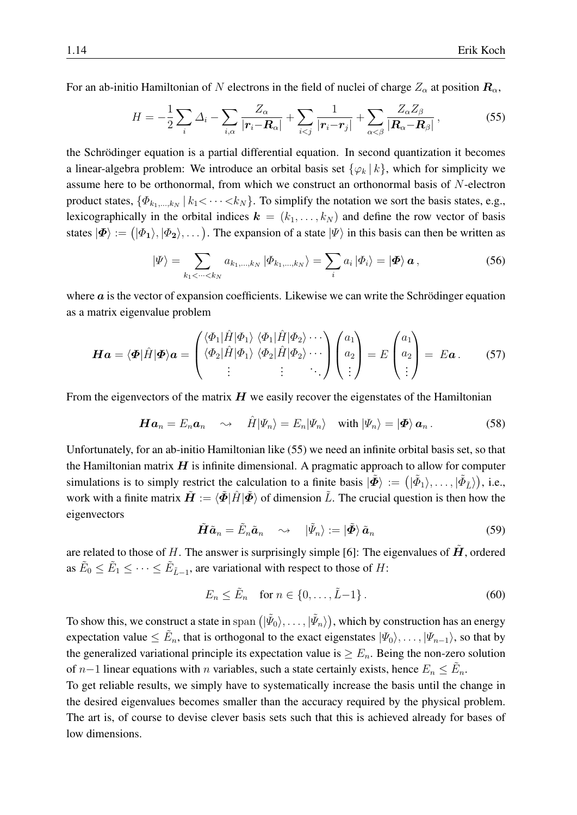For an ab-initio Hamiltonian of N electrons in the field of nuclei of charge  $Z_{\alpha}$  at position  $\mathbf{R}_{\alpha}$ ,

<span id="page-13-0"></span>
$$
H = -\frac{1}{2} \sum_{i} \Delta_i - \sum_{i,\alpha} \frac{Z_{\alpha}}{|\mathbf{r}_i - \mathbf{R}_{\alpha}|} + \sum_{i < j} \frac{1}{|\mathbf{r}_i - \mathbf{r}_j|} + \sum_{\alpha < \beta} \frac{Z_{\alpha} Z_{\beta}}{|\mathbf{R}_{\alpha} - \mathbf{R}_{\beta}|},\tag{55}
$$

the Schrödinger equation is a partial differential equation. In second quantization it becomes a linear-algebra problem: We introduce an orbital basis set  $\{\varphi_k | k\}$ , which for simplicity we assume here to be orthonormal, from which we construct an orthonormal basis of N-electron product states,  $\{\Phi_{k_1,...,k_N} \,|\, k_1 < \cdots < k_N\}$ . To simplify the notation we sort the basis states, e.g., lexicographically in the orbital indices  $\mathbf{k} = (k_1, \ldots, k_N)$  and define the row vector of basis states  $|\mathbf{\Phi}\rangle := (|\Phi_1\rangle, |\Phi_2\rangle, \dots)$ . The expansion of a state  $|\Psi\rangle$  in this basis can then be written as

<span id="page-13-3"></span>
$$
|\Psi\rangle = \sum_{k_1 < \dots < k_N} a_{k_1, \dots, k_N} |\Phi_{k_1, \dots, k_N}\rangle = \sum_i a_i |\Phi_i\rangle = |\Phi\rangle \mathbf{a},\tag{56}
$$

where  $\alpha$  is the vector of expansion coefficients. Likewise we can write the Schrödinger equation as a matrix eigenvalue problem

<span id="page-13-2"></span>
$$
\boldsymbol{H}\boldsymbol{a} = \langle \boldsymbol{\Phi} | \hat{H} | \boldsymbol{\Phi} \rangle \boldsymbol{a} = \begin{pmatrix} \langle \Phi_1 | \hat{H} | \Phi_1 \rangle & \langle \Phi_1 | \hat{H} | \Phi_2 \rangle \cdots \\ \langle \Phi_2 | \hat{H} | \Phi_1 \rangle & \langle \Phi_2 | \hat{H} | \Phi_2 \rangle \cdots \\ \vdots & \vdots & \ddots \end{pmatrix} \begin{pmatrix} a_1 \\ a_2 \\ \vdots \end{pmatrix} = E \begin{pmatrix} a_1 \\ a_2 \\ \vdots \end{pmatrix} = E \boldsymbol{a} . \qquad (57)
$$

From the eigenvectors of the matrix  $H$  we easily recover the eigenstates of the Hamiltonian

$$
\boldsymbol{H}\boldsymbol{a}_n = E_n \boldsymbol{a}_n \quad \leadsto \quad \hat{H}|\Psi_n\rangle = E_n|\Psi_n\rangle \quad \text{with } |\Psi_n\rangle = |\boldsymbol{\Phi}\rangle \boldsymbol{a}_n \,.
$$

Unfortunately, for an ab-initio Hamiltonian like [\(55\)](#page-13-0) we need an infinite orbital basis set, so that the Hamiltonian matrix  $H$  is infinite dimensional. A pragmatic approach to allow for computer simulations is to simply restrict the calculation to a finite basis  $|\tilde{\Phi}\rangle := (|\tilde{\Phi}_1\rangle, \dots, |\tilde{\Phi}_{\tilde{L}}\rangle)$ , i.e., work with a finite matrix  $\mathbf{H} := \langle \Phi | H | \Phi \rangle$  of dimension L. The crucial question is then how the eigenvectors

$$
\tilde{H}\tilde{a}_n = \tilde{E}_n \tilde{a}_n \quad \leadsto \quad |\tilde{\Psi}_n\rangle := |\tilde{\Phi}\rangle \tilde{a}_n \tag{59}
$$

are related to those of H. The answer is surprisingly simple [\[6\]](#page-28-5): The eigenvalues of  $\hat{H}$ , ordered as  $\tilde{E}_0 \le \tilde{E}_1 \le \cdots \le \tilde{E}_{\tilde{L}-1}$ , are variational with respect to those of H:

<span id="page-13-1"></span>
$$
E_n \le \tilde{E}_n \quad \text{for } n \in \{0, \dots, \tilde{L} - 1\} \,. \tag{60}
$$

To show this, we construct a state in  ${\rm span}\, \big(|\tilde{\varPsi}_0\rangle,\ldots,|\tilde{\varPsi}_n\rangle\big),$  which by construction has an energy expectation value  $\leq \tilde{E}_n$ , that is orthogonal to the exact eigenstates  $|\Psi_0\rangle, \ldots, |\Psi_{n-1}\rangle$ , so that by the generalized variational principle its expectation value is  $\geq E_n$ . Being the non-zero solution of  $n-1$  linear equations with n variables, such a state certainly exists, hence  $E_n \leq \tilde{E}_n$ .

To get reliable results, we simply have to systematically increase the basis until the change in the desired eigenvalues becomes smaller than the accuracy required by the physical problem. The art is, of course to devise clever basis sets such that this is achieved already for bases of low dimensions.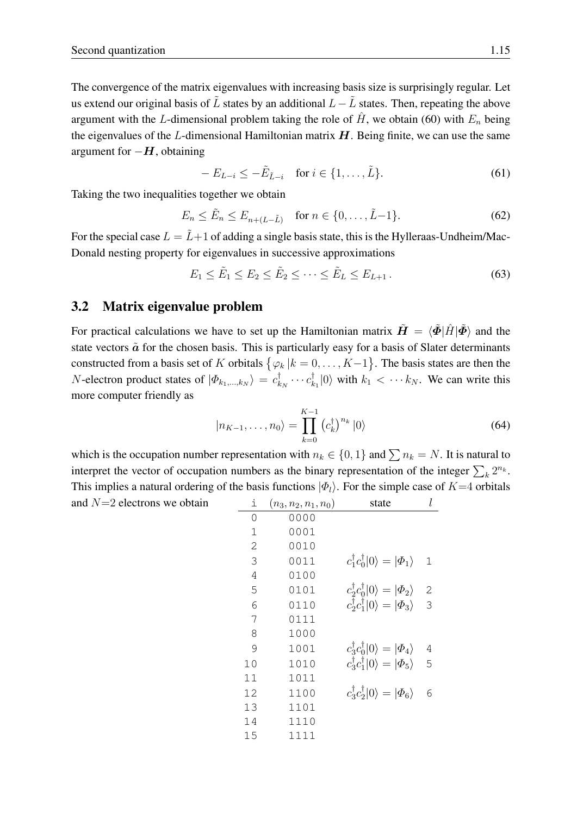The convergence of the matrix eigenvalues with increasing basis size is surprisingly regular. Let us extend our original basis of L states by an additional  $L - L$  states. Then, repeating the above argument with the L-dimensional problem taking the role of  $\hat{H}$ , we obtain [\(60\)](#page-13-1) with  $E_n$  being the eigenvalues of the  $L$ -dimensional Hamiltonian matrix  $H$ . Being finite, we can use the same argument for  $-H$ , obtaining

$$
-E_{L-i} \le -\tilde{E}_{\tilde{L}-i} \quad \text{for } i \in \{1, \dots, \tilde{L}\}.
$$

Taking the two inequalities together we obtain

$$
E_n \le \tilde{E}_n \le E_{n+(L-\tilde{L})} \quad \text{for } n \in \{0, \dots, \tilde{L}-1\}. \tag{62}
$$

For the special case  $L = L+1$  of adding a single basis state, this is the Hylleraas-Undheim/Mac-Donald nesting property for eigenvalues in successive approximations

$$
E_1 \le \tilde{E}_1 \le E_2 \le \tilde{E}_2 \le \cdots \le \tilde{E}_L \le E_{L+1}.
$$
\n(63)

#### <span id="page-14-0"></span>3.2 Matrix eigenvalue problem

For practical calculations we have to set up the Hamiltonian matrix  $\tilde{H} = \langle \tilde{\Phi} | \hat{H} | \tilde{\Phi} \rangle$  and the state vectors  $\tilde{a}$  for the chosen basis. This is particularly easy for a basis of Slater determinants constructed from a basis set of K orbitals  $\{\varphi_k | k = 0, \ldots, K-1\}$ . The basis states are then the *N*-electron product states of  $|\Phi_{k_1,...,k_N}\rangle = c_k^{\dagger}$  $\frac{\dagger}{k_N} \cdots c_k^{\dagger}$  $\binom{[t]}{k_1}$  with  $k_1 < \cdots k_N$ . We can write this more computer friendly as

$$
|n_{K-1},\ldots,n_0\rangle = \prod_{k=0}^{K-1} \left(c_k^{\dagger}\right)^{n_k} |0\rangle \tag{64}
$$

which is the occupation number representation with  $n_k \in \{0, 1\}$  and  $\sum n_k = N$ . It is natural to interpret the vector of occupation numbers as the binary representation of the integer  $\sum_k 2^{n_k}$ . This implies a natural ordering of the basis functions  $|\Phi_l\rangle$ . For the simple case of  $K=4$  orbitals and  $N=2$  electrons we obtain

| ı            | $(n_3, n_2, n_1, n_0)$ | state                                                    | l              |
|--------------|------------------------|----------------------------------------------------------|----------------|
| 0            | 0000                   |                                                          |                |
| $\mathbf 1$  | 0001                   |                                                          |                |
| $\mathbf{2}$ | 0010                   |                                                          |                |
| 3            | 0011                   | $c_1^{\dagger} c_0^{\dagger}  0\rangle =  \phi_1\rangle$ | 1              |
| 4            | 0100                   |                                                          |                |
| 5            | 0101                   | $c_2^{\dagger} c_0^{\dagger}  0\rangle =  \phi_2\rangle$ | $\mathbf{2}$   |
| 6            | 0110                   | $c_2^{\dagger} c_1^{\dagger}  0\rangle =  \phi_3\rangle$ | $\overline{3}$ |
| 7            | 0111                   |                                                          |                |
| 8            | 1000                   |                                                          |                |
| 9            | 1001                   | $c_3^{\dagger}c_0^{\dagger} 0\rangle= \phi_4\rangle$     | 4              |
| 10           | 1010                   | $c_3^{\dagger}c_1^{\dagger} 0\rangle= \phi_5\rangle$     | 5              |
| 11           | 1011                   |                                                          |                |
| 12           | 1100                   | $c_3^{\dagger}c_2^{\dagger} 0\rangle= \phi_6\rangle$     | 6              |
| 13           | 1101                   |                                                          |                |
| 14           | 1110                   |                                                          |                |
| 15           | 1111                   |                                                          |                |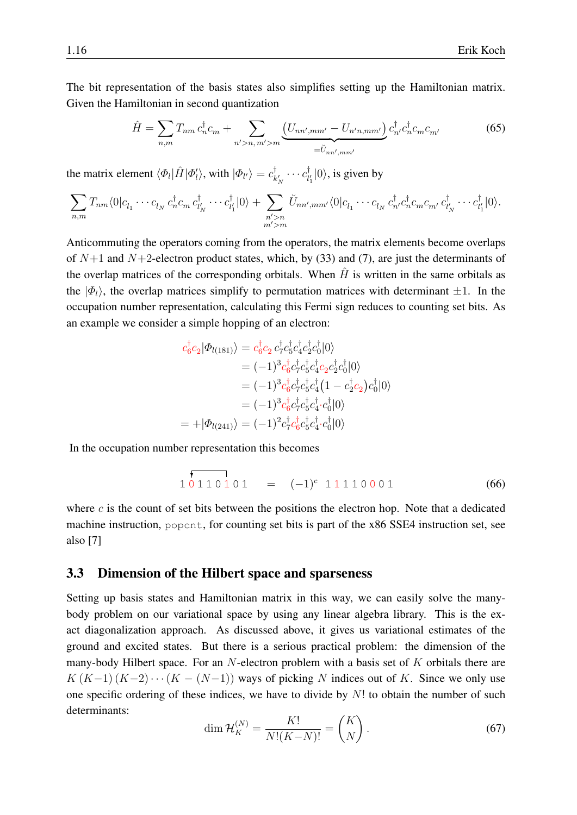The bit representation of the basis states also simplifies setting up the Hamiltonian matrix. Given the Hamiltonian in second quantization

$$
\hat{H} = \sum_{n,m} T_{nm} c_n^{\dagger} c_m + \sum_{n' > n, m' > m} \underbrace{(U_{nn',mm'} - U_{n'n,mm'})}_{=\check{U}_{nn',mm'}} c_{n'}^{\dagger} c_n^{\dagger} c_m c_{m'} \tag{65}
$$

the matrix element  $\langle \Phi_l | \hat{H} | \Phi_l' \rangle$ , with  $| \Phi_{l'} \rangle = c_k^{\dagger}$  $\frac{1}{k'_N}\cdots c^{\dagger}_{l'_1}$  $\prod_{l'_1}^{\text{T}} |0\rangle$ , is given by

$$
\sum_{n,m} T_{nm} \langle 0 | c_{l_1} \cdots c_{l_N} c_n^{\dagger} c_m c_{l'_N}^{\dagger} \cdots c_{l'_1}^{\dagger} | 0 \rangle + \sum_{\substack{n' > n \\ m' > m}} \breve{U}_{nn',mm'} \langle 0 | c_{l_1} \cdots c_{l_N} c_n^{\dagger} c_n^{\dagger} c_m c_{m'} c_{l'_N}^{\dagger} \cdots c_{l'_1}^{\dagger} | 0 \rangle.
$$

Anticommuting the operators coming from the operators, the matrix elements become overlaps of  $N+1$  and  $N+2$ -electron product states, which, by [\(33\)](#page-8-2) and [\(7\)](#page-3-1), are just the determinants of the overlap matrices of the corresponding orbitals. When  $\hat{H}$  is written in the same orbitals as the  $|\Phi_l\rangle$ , the overlap matrices simplify to permutation matrices with determinant  $\pm 1$ . In the occupation number representation, calculating this Fermi sign reduces to counting set bits. As an example we consider a simple hopping of an electron:

$$
c_6^{\dagger}c_2|\Phi_{l(181)}\rangle = c_6^{\dagger}c_2 c_7^{\dagger}c_5^{\dagger}c_4^{\dagger}c_2^{\dagger}c_0^{\dagger}|0\rangle
$$
  
\n
$$
= (-1)^3 c_6^{\dagger}c_7^{\dagger}c_5^{\dagger}c_4^{\dagger}c_2 c_2^{\dagger}c_0^{\dagger}|0\rangle
$$
  
\n
$$
= (-1)^3 c_6^{\dagger}c_7^{\dagger}c_5^{\dagger}c_4^{\dagger}(1 - c_2^{\dagger}c_2)c_0^{\dagger}|0\rangle
$$
  
\n
$$
= (-1)^3 c_6^{\dagger}c_7^{\dagger}c_5^{\dagger}c_4^{\dagger}c_0^{\dagger}|0\rangle
$$
  
\n
$$
= +|\Phi_{l(241)}\rangle = (-1)^2 c_7^{\dagger}c_6^{\dagger}c_5^{\dagger}c_4^{\dagger}c_0^{\dagger}|0\rangle
$$

In the occupation number representation this becomes

<span id="page-15-1"></span>
$$
1\overline{0110101} = (-1)^{c} 11110001
$$
 (66)

where  $c$  is the count of set bits between the positions the electron hop. Note that a dedicated machine instruction, popcnt, for counting set bits is part of the x86 SSE4 instruction set, see also [\[7\]](#page-28-6)

#### <span id="page-15-0"></span>3.3 Dimension of the Hilbert space and sparseness

Setting up basis states and Hamiltonian matrix in this way, we can easily solve the manybody problem on our variational space by using any linear algebra library. This is the exact diagonalization approach. As discussed above, it gives us variational estimates of the ground and excited states. But there is a serious practical problem: the dimension of the many-body Hilbert space. For an  $N$ -electron problem with a basis set of  $K$  orbitals there are  $K(K-1)(K-2)\cdots(K-(N-1))$  ways of picking N indices out of K. Since we only use one specific ordering of these indices, we have to divide by  $N!$  to obtain the number of such determinants:

$$
\dim \mathcal{H}_K^{(N)} = \frac{K!}{N!(K-N)!} = \binom{K}{N}.
$$
\n
$$
(67)
$$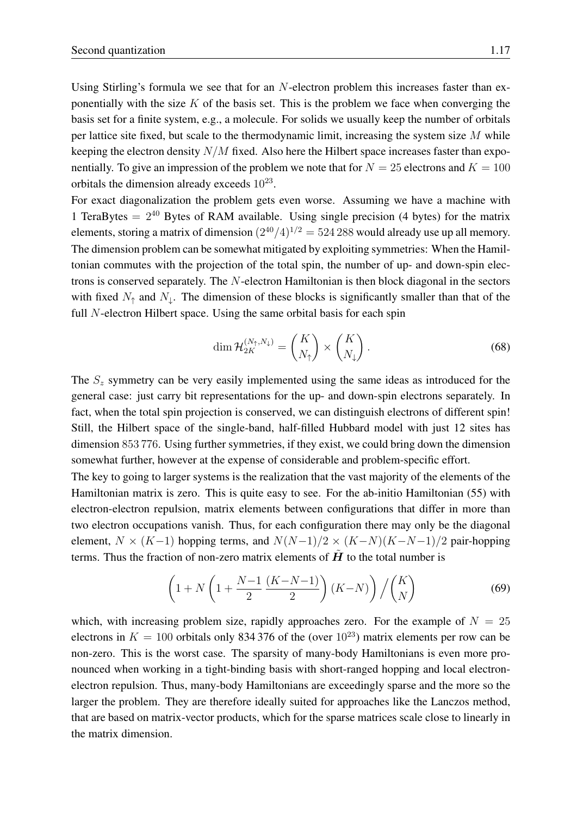Using Stirling's formula we see that for an N-electron problem this increases faster than exponentially with the size K of the basis set. This is the problem we face when converging the basis set for a finite system, e.g., a molecule. For solids we usually keep the number of orbitals per lattice site fixed, but scale to the thermodynamic limit, increasing the system size  $M$  while keeping the electron density  $N/M$  fixed. Also here the Hilbert space increases faster than exponentially. To give an impression of the problem we note that for  $N = 25$  electrons and  $K = 100$ orbitals the dimension already exceeds  $10^{23}$ .

For exact diagonalization the problem gets even worse. Assuming we have a machine with 1 TeraBytes  $= 2^{40}$  Bytes of RAM available. Using single precision (4 bytes) for the matrix elements, storing a matrix of dimension  $(2^{40}/4)^{1/2} = 524\,288$  would already use up all memory. The dimension problem can be somewhat mitigated by exploiting symmetries: When the Hamiltonian commutes with the projection of the total spin, the number of up- and down-spin electrons is conserved separately. The N-electron Hamiltonian is then block diagonal in the sectors with fixed  $N_{\uparrow}$  and  $N_{\downarrow}$ . The dimension of these blocks is significantly smaller than that of the full  $N$ -electron Hilbert space. Using the same orbital basis for each spin

$$
\dim \mathcal{H}_{2K}^{(N_{\uparrow}, N_{\downarrow})} = \binom{K}{N_{\uparrow}} \times \binom{K}{N_{\downarrow}}.
$$
\n(68)

The  $S<sub>z</sub>$  symmetry can be very easily implemented using the same ideas as introduced for the general case: just carry bit representations for the up- and down-spin electrons separately. In fact, when the total spin projection is conserved, we can distinguish electrons of different spin! Still, the Hilbert space of the single-band, half-filled Hubbard model with just 12 sites has dimension 853 776. Using further symmetries, if they exist, we could bring down the dimension somewhat further, however at the expense of considerable and problem-specific effort.

The key to going to larger systems is the realization that the vast majority of the elements of the Hamiltonian matrix is zero. This is quite easy to see. For the ab-initio Hamiltonian [\(55\)](#page-13-0) with electron-electron repulsion, matrix elements between configurations that differ in more than two electron occupations vanish. Thus, for each configuration there may only be the diagonal element,  $N \times (K-1)$  hopping terms, and  $N(N-1)/2 \times (K-N)(K-N-1)/2$  pair-hopping terms. Thus the fraction of non-zero matrix elements of  $\vec{H}$  to the total number is

$$
\left(1+N\left(1+\frac{N-1}{2}\frac{(K-N-1)}{2}\right)(K-N)\right)/\binom{K}{N} \tag{69}
$$

which, with increasing problem size, rapidly approaches zero. For the example of  $N = 25$ electrons in  $K = 100$  orbitals only 834 376 of the (over  $10^{23}$ ) matrix elements per row can be non-zero. This is the worst case. The sparsity of many-body Hamiltonians is even more pronounced when working in a tight-binding basis with short-ranged hopping and local electronelectron repulsion. Thus, many-body Hamiltonians are exceedingly sparse and the more so the larger the problem. They are therefore ideally suited for approaches like the Lanczos method, that are based on matrix-vector products, which for the sparse matrices scale close to linearly in the matrix dimension.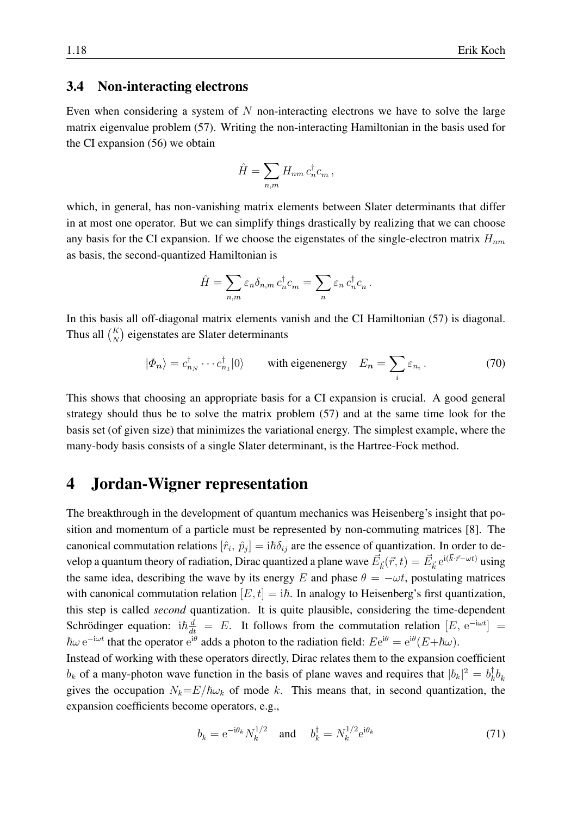#### <span id="page-17-0"></span>3.4 Non-interacting electrons

Even when considering a system of  $N$  non-interacting electrons we have to solve the large matrix eigenvalue problem [\(57\)](#page-13-2). Writing the non-interacting Hamiltonian in the basis used for the CI expansion [\(56\)](#page-13-3) we obtain

$$
\hat{H} = \sum_{n,m} H_{nm} c_n^{\dagger} c_m ,
$$

which, in general, has non-vanishing matrix elements between Slater determinants that differ in at most one operator. But we can simplify things drastically by realizing that we can choose any basis for the CI expansion. If we choose the eigenstates of the single-electron matrix  $H_{nm}$ as basis, the second-quantized Hamiltonian is

$$
\hat{H} = \sum_{n,m} \varepsilon_n \delta_{n,m} c_n^{\dagger} c_m = \sum_n \varepsilon_n c_n^{\dagger} c_n.
$$

In this basis all off-diagonal matrix elements vanish and the CI Hamiltonian [\(57\)](#page-13-2) is diagonal. Thus all  $\binom{K}{N}$  eigenstates are Slater determinants

<span id="page-17-3"></span>
$$
|\Phi_{n}\rangle = c_{n_{N}}^{\dagger} \cdots c_{n_{1}}^{\dagger} |0\rangle \quad \text{with eigenenergy} \quad E_{n} = \sum_{i} \varepsilon_{n_{i}}.
$$
 (70)

This shows that choosing an appropriate basis for a CI expansion is crucial. A good general strategy should thus be to solve the matrix problem [\(57\)](#page-13-2) and at the same time look for the basis set (of given size) that minimizes the variational energy. The simplest example, where the many-body basis consists of a single Slater determinant, is the Hartree-Fock method.

## <span id="page-17-1"></span>4 Jordan-Wigner representation

The breakthrough in the development of quantum mechanics was Heisenberg's insight that position and momentum of a particle must be represented by non-commuting matrices [\[8\]](#page-28-7). The canonical commutation relations  $[\hat{r}_i, \hat{p}_j] = i\hbar \delta_{ij}$  are the essence of quantization. In order to develop a quantum theory of radiation, Dirac quantized a plane wave  $\vec{E}_{\vec{k}}(\vec{r},t)=\vec{E}_{\vec{k}}\,\mathrm{e}^{\mathrm{i}(\vec{k}\cdot\vec{r}-\omega t)}$  using the same idea, describing the wave by its energy E and phase  $\theta = -\omega t$ , postulating matrices with canonical commutation relation  $[E, t] = i\hbar$ . In analogy to Heisenberg's first quantization, this step is called *second* quantization. It is quite plausible, considering the time-dependent Schrödinger equation: i $\hbar \frac{d}{dt} = E$ . It follows from the commutation relation  $[E, e^{-i\omega t}] =$  $\hbar\omega e^{-i\omega t}$  that the operator  $e^{i\theta}$  adds a photon to the radiation field:  $Ee^{i\theta} = e^{i\theta}(E+\hbar\omega)$ .

Instead of working with these operators directly, Dirac relates them to the expansion coefficient  $b_k$  of a many-photon wave function in the basis of plane waves and requires that  $|b_k|^2 = b_k^{\dagger}$  $_{k}^{\intercal}b_{k}$ gives the occupation  $N_k = E/\hbar\omega_k$  of mode k. This means that, in second quantization, the expansion coefficients become operators, e.g.,

<span id="page-17-2"></span>
$$
b_k = e^{-i\theta_k} N_k^{1/2} \quad \text{and} \quad b_k^{\dagger} = N_k^{1/2} e^{i\theta_k} \tag{71}
$$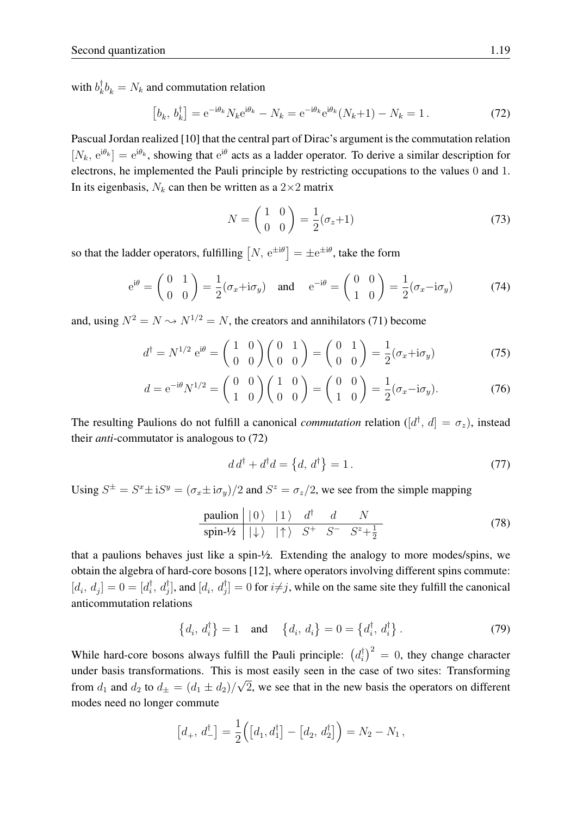with  $b_k^{\dagger}$  $\bar{k}_k^{\dagger} b_k = N_k$  and commutation relation

<span id="page-18-0"></span>
$$
[b_k, b_k^{\dagger}] = e^{-i\theta_k} N_k e^{i\theta_k} - N_k = e^{-i\theta_k} e^{i\theta_k} (N_k + 1) - N_k = 1.
$$
 (72)

Pascual Jordan realized [\[10\]](#page-28-8) that the central part of Dirac's argument is the commutation relation  $[N_k, e^{i\theta_k}] = e^{i\theta_k}$ , showing that  $e^{i\theta}$  acts as a ladder operator. To derive a similar description for electrons, he implemented the Pauli principle by restricting occupations to the values 0 and 1. In its eigenbasis,  $N_k$  can then be written as a  $2 \times 2$  matrix

$$
N = \begin{pmatrix} 1 & 0 \\ 0 & 0 \end{pmatrix} = \frac{1}{2} (\sigma_z + 1) \tag{73}
$$

so that the ladder operators, fulfilling  $[N, e^{\pm i\theta}] = \pm e^{\pm i\theta}$ , take the form

<span id="page-18-1"></span>
$$
e^{i\theta} = \begin{pmatrix} 0 & 1 \\ 0 & 0 \end{pmatrix} = \frac{1}{2} (\sigma_x + i\sigma_y)
$$
 and  $e^{-i\theta} = \begin{pmatrix} 0 & 0 \\ 1 & 0 \end{pmatrix} = \frac{1}{2} (\sigma_x - i\sigma_y)$  (74)

and, using  $N^2 = N \rightarrow N^{1/2} = N$ , the creators and annihilators [\(71\)](#page-17-2) become

$$
d^{\dagger} = N^{1/2} e^{i\theta} = \begin{pmatrix} 1 & 0 \\ 0 & 0 \end{pmatrix} \begin{pmatrix} 0 & 1 \\ 0 & 0 \end{pmatrix} = \begin{pmatrix} 0 & 1 \\ 0 & 0 \end{pmatrix} = \frac{1}{2} (\sigma_x + i\sigma_y)
$$
(75)

$$
d = e^{-i\theta} N^{1/2} = \begin{pmatrix} 0 & 0 \\ 1 & 0 \end{pmatrix} \begin{pmatrix} 1 & 0 \\ 0 & 0 \end{pmatrix} = \begin{pmatrix} 0 & 0 \\ 1 & 0 \end{pmatrix} = \frac{1}{2} (\sigma_x - i\sigma_y).
$$
 (76)

The resulting Paulions do not fulfill a canonical *commutation* relation ( $[d^{\dagger}, d] = \sigma_z$ ), instead their *anti*-commutator is analogous to [\(72\)](#page-18-0)

$$
d d^{\dagger} + d^{\dagger} d = \left\{ d, d^{\dagger} \right\} = 1. \tag{77}
$$

Using  $S^{\pm} = S^x \pm iS^y = (\sigma_x \pm i\sigma_y)/2$  and  $S^z = \sigma_z/2$ , we see from the simple mapping

<span id="page-18-2"></span>
$$
\begin{array}{c|cc}\n\text{paulion} & |0\rangle & |1\rangle & d^\dagger & d & N \\
\hline\n\text{spin-1/2} & |+\rangle & | \uparrow \rangle & S^+ & S^- & S^+ + \frac{1}{2}\n\end{array}\n\tag{78}
$$

that a paulions behaves just like a spin-½. Extending the analogy to more modes/spins, we obtain the algebra of hard-core bosons [\[12\]](#page-28-9), where operators involving different spins commute:  $[d_i, d_j] = 0 = [d_i^{\dagger}]$  $\phi_i^{\dagger}$ ,  $d_j^{\dagger}$ ], and  $[d_i, d_j^{\dagger}] = 0$  for  $i \neq j$ , while on the same site they fulfill the canonical anticommutation relations

$$
\left\{d_i, d_i^{\dagger}\right\} = 1 \quad \text{and} \quad \left\{d_i, d_i\right\} = 0 = \left\{d_i^{\dagger}, d_i^{\dagger}\right\}.
$$
 (79)

While hard-core bosons always fulfill the Pauli principle:  $(d_i^{\dagger})$  $\int_{i}^{\dagger}$  = 0, they change character under basis transformations. This is most easily seen in the case of two sites: Transforming from  $d_1$  and  $d_2$  to  $d_{\pm} = (d_1 \pm d_2)/$ √ 2, we see that in the new basis the operators on different modes need no longer commute

$$
[d_+, d_-^{\dagger}] = \frac{1}{2} ([d_1, d_1^{\dagger}] - [d_2, d_2^{\dagger}] ) = N_2 - N_1,
$$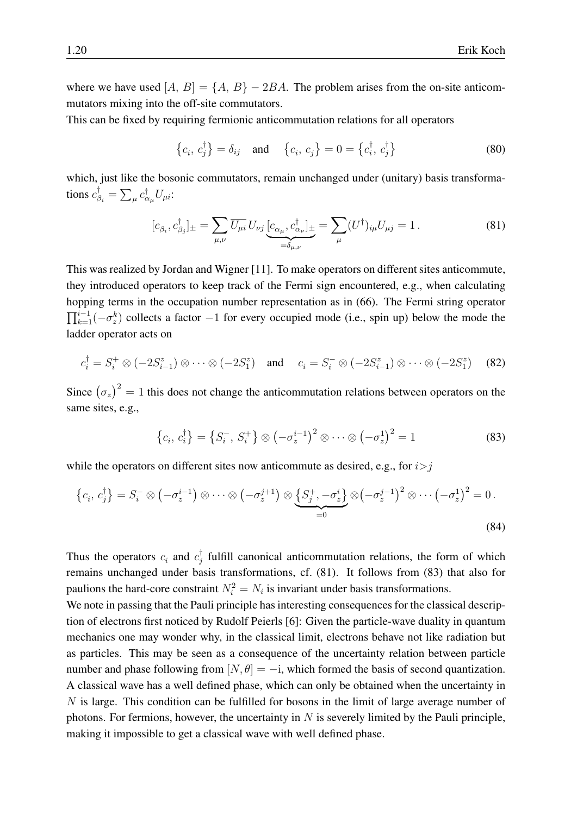where we have used  $[A, B] = \{A, B\} - 2BA$ . The problem arises from the on-site anticommutators mixing into the off-site commutators.

This can be fixed by requiring fermionic anticommutation relations for all operators

$$
\{c_i, c_j^{\dagger}\} = \delta_{ij} \text{ and } \{c_i, c_j\} = 0 = \{c_i^{\dagger}, c_j^{\dagger}\}\
$$
 (80)

which, just like the bosonic commutators, remain unchanged under (unitary) basis transformations  $c_{\beta_i}^{\dagger} = \sum_{\mu} c_{\alpha_{\mu}}^{\dagger} U_{\mu i}$ :

<span id="page-19-0"></span>
$$
[c_{\beta_i}, c_{\beta_j}^{\dagger}]_{\pm} = \sum_{\mu,\nu} \overline{U_{\mu i}} U_{\nu j} \underbrace{[c_{\alpha_{\mu}}, c_{\alpha_{\nu}}^{\dagger}]_{\pm}}_{=\delta_{\mu,\nu}} = \sum_{\mu} (U^{\dagger})_{i\mu} U_{\mu j} = 1.
$$
 (81)

This was realized by Jordan and Wigner [\[11\]](#page-28-10). To make operators on different sites anticommute, they introduced operators to keep track of the Fermi sign encountered, e.g., when calculating hopping terms in the occupation number representation as in [\(66\)](#page-15-1). The Fermi string operator  $\prod_{k=1}^{i-1}(-\sigma_z^k)$  collects a factor  $-1$  for every occupied mode (i.e., spin up) below the mode the ladder operator acts on

$$
c_i^{\dagger} = S_i^+ \otimes (-2S_{i-1}^z) \otimes \cdots \otimes (-2S_1^z) \quad \text{and} \quad c_i = S_i^- \otimes (-2S_{i-1}^z) \otimes \cdots \otimes (-2S_1^z) \tag{82}
$$

Since  $(\sigma_z)^2 = 1$  this does not change the anticommutation relations between operators on the same sites, e.g.,

<span id="page-19-1"></span>
$$
\left\{c_i, c_i^{\dagger}\right\} = \left\{S_i^-, S_i^+\right\} \otimes \left(-\sigma_z^{i-1}\right)^2 \otimes \cdots \otimes \left(-\sigma_z^1\right)^2 = 1 \tag{83}
$$

while the operators on different sites now anticommute as desired, e.g., for  $i>j$ 

$$
\left\{c_i, c_j^{\dagger}\right\} = S_i^- \otimes \left(-\sigma_z^{i-1}\right) \otimes \cdots \otimes \left(-\sigma_z^{j+1}\right) \otimes \underbrace{\left\{S_j^+, -\sigma_z^i\right\}}_{=0} \otimes \left(-\sigma_z^{j-1}\right)^2 \otimes \cdots \left(-\sigma_z^1\right)^2 = 0.
$$
\n(84)

Thus the operators  $c_i$  and  $c_j^{\dagger}$  $j$  fulfill canonical anticommutation relations, the form of which remains unchanged under basis transformations, cf. [\(81\)](#page-19-0). It follows from [\(83\)](#page-19-1) that also for paulions the hard-core constraint  $N_i^2 = N_i$  is invariant under basis transformations.

We note in passing that the Pauli principle has interesting consequences for the classical description of electrons first noticed by Rudolf Peierls [\[6\]](#page-28-5): Given the particle-wave duality in quantum mechanics one may wonder why, in the classical limit, electrons behave not like radiation but as particles. This may be seen as a consequence of the uncertainty relation between particle number and phase following from  $[N, \theta] = -i$ , which formed the basis of second quantization. A classical wave has a well defined phase, which can only be obtained when the uncertainty in N is large. This condition can be fulfilled for bosons in the limit of large average number of photons. For fermions, however, the uncertainty in  $N$  is severely limited by the Pauli principle, making it impossible to get a classical wave with well defined phase.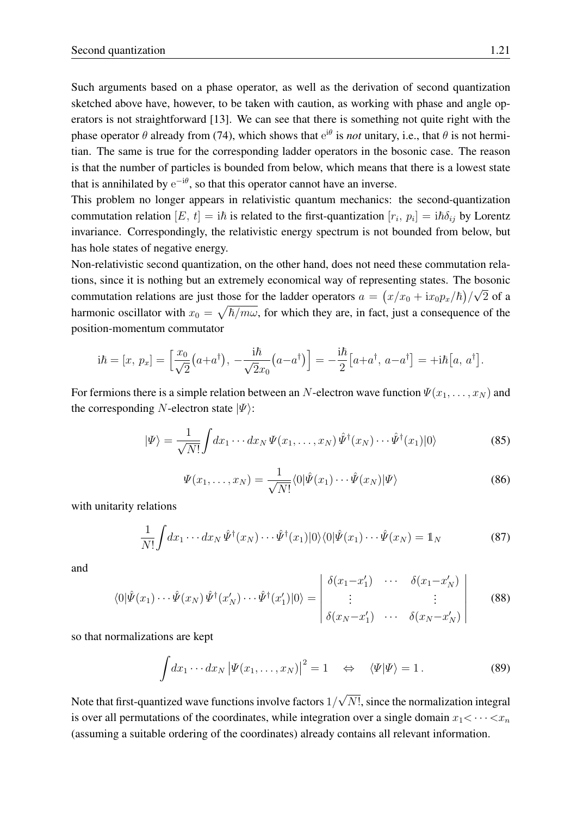Such arguments based on a phase operator, as well as the derivation of second quantization sketched above have, however, to be taken with caution, as working with phase and angle operators is not straightforward [\[13\]](#page-28-11). We can see that there is something not quite right with the phase operator  $\theta$  already from [\(74\)](#page-18-1), which shows that  $e^{i\theta}$  is *not* unitary, i.e., that  $\theta$  is not hermitian. The same is true for the corresponding ladder operators in the bosonic case. The reason is that the number of particles is bounded from below, which means that there is a lowest state that is annihilated by  $e^{-i\theta}$ , so that this operator cannot have an inverse.

This problem no longer appears in relativistic quantum mechanics: the second-quantization commutation relation  $[E, t] = i\hbar$  is related to the first-quantization  $[r_i, p_i] = i\hbar \delta_{ij}$  by Lorentz invariance. Correspondingly, the relativistic energy spectrum is not bounded from below, but has hole states of negative energy.

Non-relativistic second quantization, on the other hand, does not need these commutation relations, since it is nothing but an extremely economical way of representing states. The bosonic commutation relations are just those for the ladder operators  $a = (x/x_0 + ix_0p_x/\hbar)/\sqrt{2}$  of a harmonic oscillator with  $x_0 = \sqrt{\hbar/m\omega}$ , for which they are, in fact, just a consequence of the position-momentum commutator

$$
\mathrm{i}\hbar = [x, p_x] = \left[\frac{x_0}{\sqrt{2}}(a+a^{\dagger}), -\frac{\mathrm{i}\hbar}{\sqrt{2}x_0}(a-a^{\dagger})\right] = -\frac{\mathrm{i}\hbar}{2}[a+a^{\dagger}, a-a^{\dagger}] = +\mathrm{i}\hbar[a, a^{\dagger}].
$$

For fermions there is a simple relation between an N-electron wave function  $\Psi(x_1, \ldots, x_N)$  and the corresponding N-electron state  $|\Psi\rangle$ :

$$
|\Psi\rangle = \frac{1}{\sqrt{N!}} \int dx_1 \cdots dx_N \Psi(x_1, \dots, x_N) \hat{\Psi}^{\dagger}(x_N) \cdots \hat{\Psi}^{\dagger}(x_1) |0\rangle
$$
 (85)

$$
\Psi(x_1,\ldots,x_N) = \frac{1}{\sqrt{N!}} \langle 0|\hat{\Psi}(x_1)\cdots\hat{\Psi}(x_N)|\Psi\rangle
$$
\n(86)

with unitarity relations

$$
\frac{1}{N!} \int dx_1 \cdots dx_N \hat{\Psi}^{\dagger}(x_N) \cdots \hat{\Psi}^{\dagger}(x_1) |0\rangle\langle 0| \hat{\Psi}(x_1) \cdots \hat{\Psi}(x_N) = \mathbb{1}_N
$$
\n(87)

and

$$
\langle 0|\hat{\Psi}(x_1)\cdots\hat{\Psi}(x_N)\,\hat{\Psi}^{\dagger}(x'_N)\cdots\hat{\Psi}^{\dagger}(x'_1)|0\rangle = \begin{vmatrix} \delta(x_1-x'_1) & \cdots & \delta(x_1-x'_N) \\ \vdots & & \vdots \\ \delta(x_N-x'_1) & \cdots & \delta(x_N-x'_N) \end{vmatrix}
$$
(88)

so that normalizations are kept

$$
\int dx_1 \cdots dx_N \left| \Psi(x_1, \ldots, x_N) \right|^2 = 1 \quad \Leftrightarrow \quad \langle \Psi | \Psi \rangle = 1. \tag{89}
$$

Note that first-quantized wave functions involve factors  $1/$ √ N!, since the normalization integral is over all permutations of the coordinates, while integration over a single domain  $x_1 < \cdots < x_n$ (assuming a suitable ordering of the coordinates) already contains all relevant information.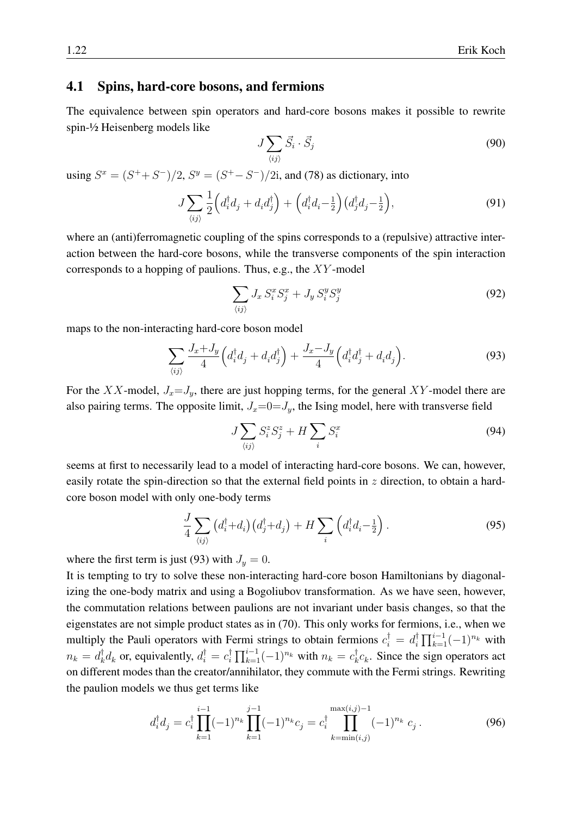#### <span id="page-21-0"></span>4.1 Spins, hard-core bosons, and fermions

The equivalence between spin operators and hard-core bosons makes it possible to rewrite spin-½ Heisenberg models like

$$
J\sum_{\langle ij\rangle}\vec{S}_i\cdot\vec{S}_j\tag{90}
$$

using  $S^x = (S^+ + S^-)/2$ ,  $S^y = (S^+ - S^-)/2$ i, and [\(78\)](#page-18-2) as dictionary, into

$$
J\sum_{\langle ij\rangle}\frac{1}{2}\Big(d_i^\dagger d_j + d_i d_j^\dagger\Big) + \Big(d_i^\dagger d_i - \frac{1}{2}\Big)(d_j^\dagger d_j - \frac{1}{2}\Big),\tag{91}
$$

where an (anti)ferromagnetic coupling of the spins corresponds to a (repulsive) attractive interaction between the hard-core bosons, while the transverse components of the spin interaction corresponds to a hopping of paulions. Thus, e.g., the XY -model

$$
\sum_{\langle ij \rangle} J_x S_i^x S_j^x + J_y S_i^y S_j^y \tag{92}
$$

maps to the non-interacting hard-core boson model

<span id="page-21-1"></span>
$$
\sum_{\langle ij\rangle} \frac{J_x + J_y}{4} \left( d_i^\dagger d_j + d_i d_j^\dagger \right) + \frac{J_x - J_y}{4} \left( d_i^\dagger d_j^\dagger + d_i d_j \right). \tag{93}
$$

For the XX-model,  $J_x = J_y$ , there are just hopping terms, for the general XY-model there are also pairing terms. The opposite limit,  $J_x=0=J_y$ , the Ising model, here with transverse field

$$
J\sum_{\langle ij\rangle} S_i^z S_j^z + H\sum_i S_i^x \tag{94}
$$

seems at first to necessarily lead to a model of interacting hard-core bosons. We can, however, easily rotate the spin-direction so that the external field points in  $z$  direction, to obtain a hardcore boson model with only one-body terms

$$
\frac{J}{4} \sum_{\langle ij \rangle} \left( d_i^{\dagger} + d_i \right) \left( d_j^{\dagger} + d_j \right) + H \sum_i \left( d_i^{\dagger} d_i - \frac{1}{2} \right). \tag{95}
$$

where the first term is just [\(93\)](#page-21-1) with  $J_y = 0$ .

It is tempting to try to solve these non-interacting hard-core boson Hamiltonians by diagonalizing the one-body matrix and using a Bogoliubov transformation. As we have seen, however, the commutation relations between paulions are not invariant under basis changes, so that the eigenstates are not simple product states as in [\(70\)](#page-17-3). This only works for fermions, i.e., when we multiply the Pauli operators with Fermi strings to obtain fermions  $c_i^{\dagger} = d_i^{\dagger}$  $\prod_{k=1}^{i-1}(-1)^{n_k}$  with  $n_k = d_k^\dagger$  $\int_k^{\dagger} d_k$  or, equivalently,  $d_i^{\dagger} = c_i^{\dagger}$  $\prod_{k=1}^{\dagger} \prod_{k=1}^{i-1} (-1)^{n_k}$  with  $n_k = c_k^{\dagger}$  $_{k}^{\dagger}c_{k}$ . Since the sign operators act on different modes than the creator/annihilator, they commute with the Fermi strings. Rewriting the paulion models we thus get terms like

$$
d_i^{\dagger} d_j = c_i^{\dagger} \prod_{k=1}^{i-1} (-1)^{n_k} \prod_{k=1}^{j-1} (-1)^{n_k} c_j = c_i^{\dagger} \prod_{k=\min(i,j)}^{\max(i,j)-1} (-1)^{n_k} c_j.
$$
 (96)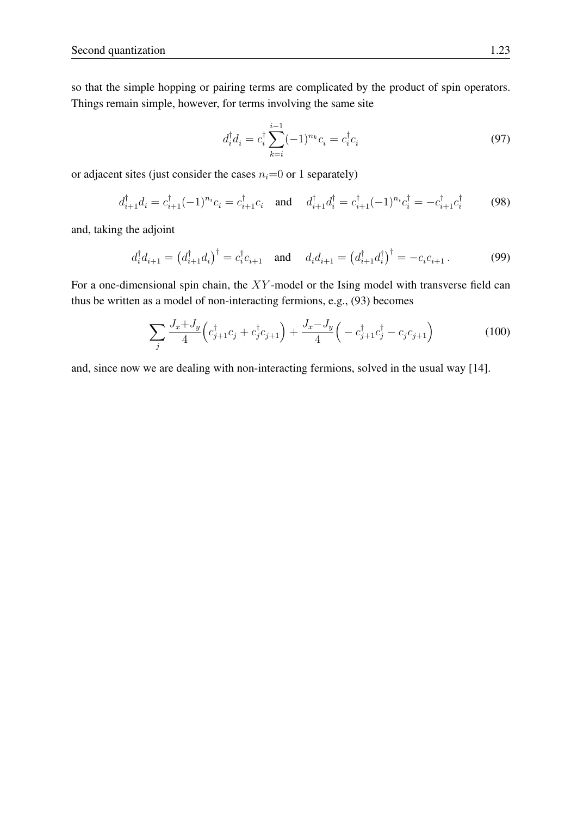so that the simple hopping or pairing terms are complicated by the product of spin operators. Things remain simple, however, for terms involving the same site

$$
d_i^{\dagger} d_i = c_i^{\dagger} \sum_{k=i}^{i-1} (-1)^{n_k} c_i = c_i^{\dagger} c_i
$$
 (97)

or adjacent sites (just consider the cases  $n_i=0$  or 1 separately)

$$
d_{i+1}^{\dagger} d_i = c_{i+1}^{\dagger} (-1)^{n_i} c_i = c_{i+1}^{\dagger} c_i \quad \text{and} \quad d_{i+1}^{\dagger} d_i^{\dagger} = c_{i+1}^{\dagger} (-1)^{n_i} c_i^{\dagger} = -c_{i+1}^{\dagger} c_i^{\dagger} \tag{98}
$$

and, taking the adjoint

$$
d_i^{\dagger} d_{i+1} = (d_{i+1}^{\dagger} d_i)^{\dagger} = c_i^{\dagger} c_{i+1}
$$
 and  $d_i d_{i+1} = (d_{i+1}^{\dagger} d_i)^{\dagger} = -c_i c_{i+1}$ . (99)

For a one-dimensional spin chain, the  $XY$ -model or the Ising model with transverse field can thus be written as a model of non-interacting fermions, e.g., [\(93\)](#page-21-1) becomes

$$
\sum_{j} \frac{J_x + J_y}{4} \left( c_{j+1}^{\dagger} c_j + c_j^{\dagger} c_{j+1} \right) + \frac{J_x - J_y}{4} \left( -c_{j+1}^{\dagger} c_j^{\dagger} - c_j c_{j+1} \right) \tag{100}
$$

and, since now we are dealing with non-interacting fermions, solved in the usual way [\[14\]](#page-28-12).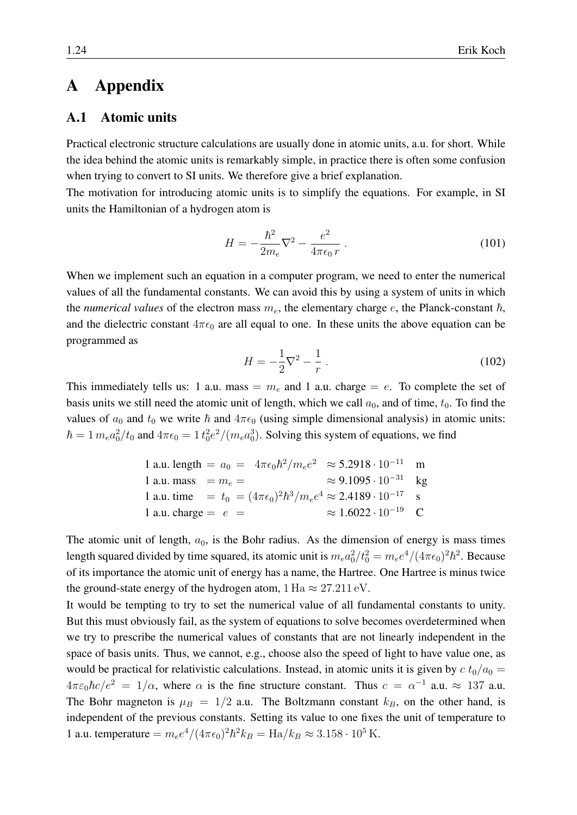## <span id="page-23-0"></span>A Appendix

#### <span id="page-23-1"></span>A.1 Atomic units

Practical electronic structure calculations are usually done in atomic units, a.u. for short. While the idea behind the atomic units is remarkably simple, in practice there is often some confusion when trying to convert to SI units. We therefore give a brief explanation.

The motivation for introducing atomic units is to simplify the equations. For example, in SI units the Hamiltonian of a hydrogen atom is

$$
H = -\frac{\hbar^2}{2m_e}\nabla^2 - \frac{e^2}{4\pi\epsilon_0 r} \ . \tag{101}
$$

When we implement such an equation in a computer program, we need to enter the numerical values of all the fundamental constants. We can avoid this by using a system of units in which the *numerical values* of the electron mass  $m_e$ , the elementary charge  $e$ , the Planck-constant  $\hbar$ , and the dielectric constant  $4\pi\epsilon_0$  are all equal to one. In these units the above equation can be programmed as

$$
H = -\frac{1}{2}\nabla^2 - \frac{1}{r} \,. \tag{102}
$$

This immediately tells us: 1 a.u. mass =  $m_e$  and 1 a.u. charge = e. To complete the set of basis units we still need the atomic unit of length, which we call  $a_0$ , and of time,  $t_0$ . To find the values of  $a_0$  and  $t_0$  we write  $\hbar$  and  $4\pi\epsilon_0$  (using simple dimensional analysis) in atomic units:  $\hbar = 1 m_e a_0^2/t_0$  and  $4\pi\epsilon_0 = 1 t_0^2 e^2/(m_e a_0^3)$ . Solving this system of equations, we find

1 a.u. length = 
$$
a_0 = 4\pi\epsilon_0 \hbar^2/m_e e^2 \approx 5.2918 \cdot 10^{-11}
$$
 m  
\n1 a.u. mass =  $m_e$  =  $\approx 9.1095 \cdot 10^{-31}$  kg  
\n1 a.u. time =  $t_0 = (4\pi\epsilon_0)^2 \hbar^3/m_e e^4 \approx 2.4189 \cdot 10^{-17}$  s  
\n1 a.u. charge =  $e$  =  $\approx 1.6022 \cdot 10^{-19}$  C

The atomic unit of length,  $a_0$ , is the Bohr radius. As the dimension of energy is mass times length squared divided by time squared, its atomic unit is  $m_e a_0^2/t_0^2 = m_e e^4/(4\pi\epsilon_0)^2\hbar^2$ . Because of its importance the atomic unit of energy has a name, the Hartree. One Hartree is minus twice the ground-state energy of the hydrogen atom,  $1 \text{ Ha} \approx 27.211 \text{ eV}$ .

It would be tempting to try to set the numerical value of all fundamental constants to unity. But this must obviously fail, as the system of equations to solve becomes overdetermined when we try to prescribe the numerical values of constants that are not linearly independent in the space of basis units. Thus, we cannot, e.g., choose also the speed of light to have value one, as would be practical for relativistic calculations. Instead, in atomic units it is given by  $c t_0/a_0 =$  $4\pi\varepsilon_0\hbar c/e^2 = 1/\alpha$ , where  $\alpha$  is the fine structure constant. Thus  $c = \alpha^{-1}$  a.u.  $\approx 137$  a.u. The Bohr magneton is  $\mu_B = 1/2$  a.u. The Boltzmann constant  $k_B$ , on the other hand, is independent of the previous constants. Setting its value to one fixes the unit of temperature to 1 a.u. temperature  $= m_e e^4 / (4\pi \epsilon_0)^2 \hbar^2 k_B = H a / k_B \approx 3.158 \cdot 10^5$  K.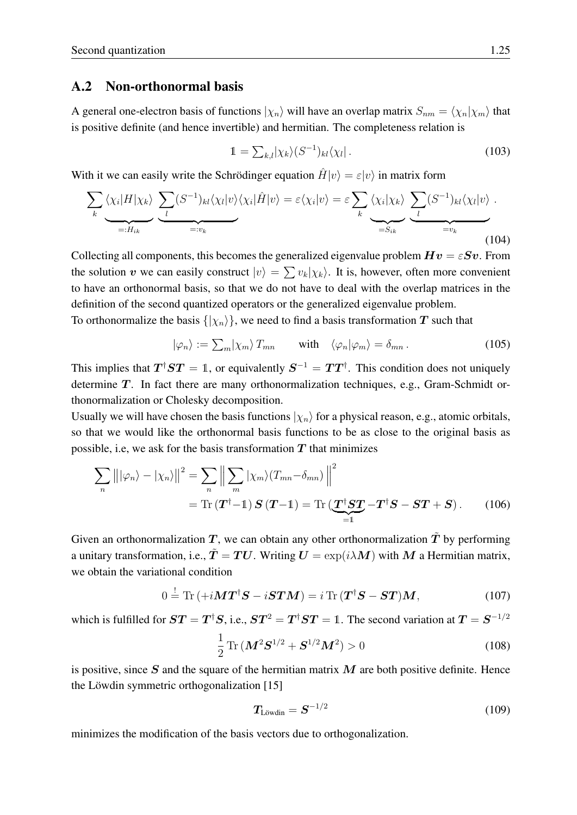#### <span id="page-24-0"></span>A.2 Non-orthonormal basis

A general one-electron basis of functions  $|\chi_n\rangle$  will have an overlap matrix  $S_{nm} = \langle \chi_n | \chi_m \rangle$  that is positive definite (and hence invertible) and hermitian. The completeness relation is

$$
1 = \sum_{k,l} |\chi_k\rangle (S^{-1})_{kl} \langle \chi_l| \,. \tag{103}
$$

With it we can easily write the Schrödinger equation  $H|v\rangle = \varepsilon|v\rangle$  in matrix form

$$
\sum_{k} \langle \chi_{i} | H | \chi_{k} \rangle \underbrace{\sum_{l} (S^{-1})_{kl} \langle \chi_{l} | v \rangle \langle \chi_{i} | \hat{H} | v \rangle}_{=:v_{k}} = \varepsilon \langle \chi_{i} | v \rangle = \varepsilon \sum_{k} \langle \chi_{i} | \chi_{k} \rangle \underbrace{\sum_{l} (S^{-1})_{kl} \langle \chi_{l} | v \rangle}_{=:v_{k}}.
$$
\n(104)

Collecting all components, this becomes the generalized eigenvalue problem  $Hv = \varepsilon Sv$ . From the solution v we can easily construct  $|v\rangle = \sum v_k |\chi_k\rangle$ . It is, however, often more convenient to have an orthonormal basis, so that we do not have to deal with the overlap matrices in the definition of the second quantized operators or the generalized eigenvalue problem.

To orthonormalize the basis  $\{|\chi_n\rangle\}$ , we need to find a basis transformation T such that

$$
|\varphi_n\rangle := \sum_m |\chi_m\rangle T_{mn} \quad \text{with} \quad \langle \varphi_n | \varphi_m \rangle = \delta_{mn} \,. \tag{105}
$$

This implies that  $T^{\dagger}ST = 1$ , or equivalently  $S^{-1} = TT^{\dagger}$ . This condition does not uniquely determine  $T$ . In fact there are many orthonormalization techniques, e.g., Gram-Schmidt orthonormalization or Cholesky decomposition.

Usually we will have chosen the basis functions  $|\chi_n\rangle$  for a physical reason, e.g., atomic orbitals, so that we would like the orthonormal basis functions to be as close to the original basis as possible, i.e, we ask for the basis transformation  $T$  that minimizes

$$
\sum_{n} ||\varphi_{n}\rangle - |\chi_{n}\rangle||^{2} = \sum_{n} \left\| \sum_{m} |\chi_{m}\rangle (T_{mn} - \delta_{mn}) \right\|^{2}
$$
  
= Tr  $(\mathbf{T}^{\dagger} - 1) \mathbf{S} (\mathbf{T} - 1) =$  Tr  $(\underbrace{\mathbf{T}^{\dagger} \mathbf{S} \mathbf{T}}_{=1} - \mathbf{T}^{\dagger} \mathbf{S} - \mathbf{S} \mathbf{T} + \mathbf{S})$ . (106)

Given an orthonormalization T, we can obtain any other orthonormalization  $\tilde{T}$  by performing a unitary transformation, i.e.,  $\tilde{T} = TU$ . Writing  $U = \exp(i\lambda M)$  with M a Hermitian matrix, we obtain the variational condition

$$
0 = \text{Tr}\left(+i\boldsymbol{M}\boldsymbol{T}^{\dagger}\boldsymbol{S} - i\boldsymbol{S}\boldsymbol{T}\boldsymbol{M}\right) = i\text{Tr}\left(\boldsymbol{T}^{\dagger}\boldsymbol{S} - \boldsymbol{S}\boldsymbol{T}\right)\boldsymbol{M},\tag{107}
$$

which is fulfilled for  $ST = T^{\dagger}S$ , i.e.,  $ST^2 = T^{\dagger}ST = 1$ . The second variation at  $T = S^{-1/2}$ 

$$
\frac{1}{2}\operatorname{Tr}\left(\mathbf{M}^{2}\mathbf{S}^{1/2} + \mathbf{S}^{1/2}\mathbf{M}^{2}\right) > 0\tag{108}
$$

is positive, since  $S$  and the square of the hermitian matrix  $M$  are both positive definite. Hence the Löwdin symmetric orthogonalization  $[15]$ 

$$
T_{\text{Lowdin}} = S^{-1/2} \tag{109}
$$

minimizes the modification of the basis vectors due to orthogonalization.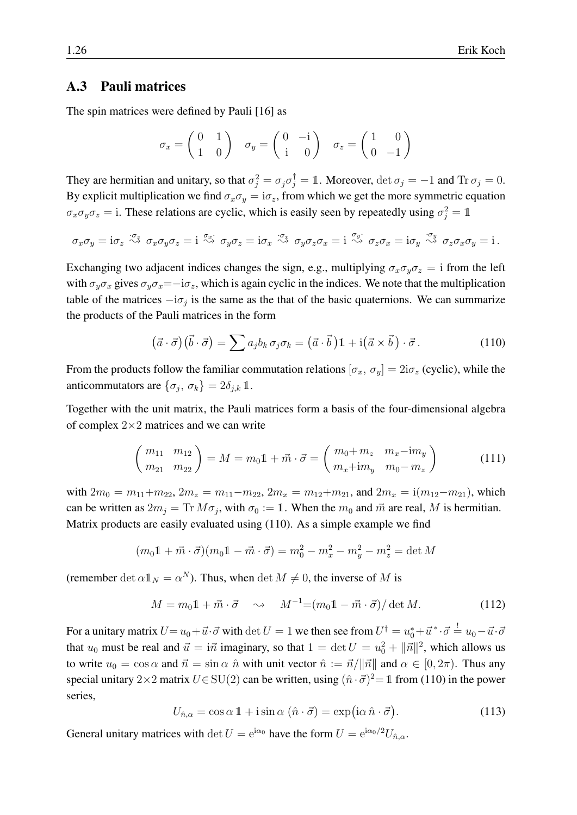#### <span id="page-25-0"></span>A.3 Pauli matrices

The spin matrices were defined by Pauli [\[16\]](#page-28-14) as

$$
\sigma_x = \begin{pmatrix} 0 & 1 \\ 1 & 0 \end{pmatrix} \quad \sigma_y = \begin{pmatrix} 0 & -i \\ i & 0 \end{pmatrix} \quad \sigma_z = \begin{pmatrix} 1 & 0 \\ 0 & -1 \end{pmatrix}
$$

They are hermitian and unitary, so that  $\sigma_j^2 = \sigma_j \sigma_j^{\dagger} = 1$ . Moreover,  $\det \sigma_j = -1$  and  $\text{Tr } \sigma_j = 0$ . By explicit multiplication we find  $\sigma_x \sigma_y = i \sigma_z$ , from which we get the more symmetric equation  $\sigma_x \sigma_y \sigma_z = i$ . These relations are cyclic, which is easily seen by repeatedly using  $\sigma_j^2 = 1$ 

$$
\sigma_x \sigma_y = \mathrm{i} \sigma_z \stackrel{\sigma_z}{\leadsto} \sigma_x \sigma_y \sigma_z = \mathrm{i} \stackrel{\sigma_x}{\leadsto} \sigma_y \sigma_z = \mathrm{i} \sigma_x \stackrel{\sigma_x}{\leadsto} \sigma_y \sigma_z \sigma_x = \mathrm{i} \stackrel{\sigma_y}{\leadsto} \sigma_z \sigma_x = \mathrm{i} \sigma_y \stackrel{\sigma_y}{\leadsto} \sigma_z \sigma_x \sigma_y = \mathrm{i} \, .
$$

Exchanging two adjacent indices changes the sign, e.g., multiplying  $\sigma_x \sigma_y \sigma_z = i$  from the left with  $\sigma_y \sigma_x$  gives  $\sigma_y \sigma_x = -i \sigma_z$ , which is again cyclic in the indices. We note that the multiplication table of the matrices  $-i\sigma_j$  is the same as the that of the basic quaternions. We can summarize the products of the Pauli matrices in the form

<span id="page-25-1"></span>
$$
(\vec{a} \cdot \vec{\sigma}) (\vec{b} \cdot \vec{\sigma}) = \sum a_j b_k \sigma_j \sigma_k = (\vec{a} \cdot \vec{b}) \mathbb{1} + \mathrm{i} (\vec{a} \times \vec{b}) \cdot \vec{\sigma}.
$$
 (110)

From the products follow the familiar commutation relations  $[\sigma_x, \sigma_y] = 2i\sigma_z$  (cyclic), while the anticommutators are  $\{\sigma_j, \sigma_k\} = 2\delta_{j,k} \mathbb{1}.$ 

Together with the unit matrix, the Pauli matrices form a basis of the four-dimensional algebra of complex  $2\times 2$  matrices and we can write

$$
\begin{pmatrix} m_{11} & m_{12} \\ m_{21} & m_{22} \end{pmatrix} = M = m_0 \mathbb{1} + \vec{m} \cdot \vec{\sigma} = \begin{pmatrix} m_0 + m_z & m_x - im_y \\ m_x + im_y & m_0 - m_z \end{pmatrix}
$$
 (111)

with  $2m_0 = m_{11} + m_{22}$ ,  $2m_z = m_{11} - m_{22}$ ,  $2m_x = m_{12} + m_{21}$ , and  $2m_x = i(m_{12} - m_{21})$ , which can be written as  $2m_j = \text{Tr } M \sigma_j$ , with  $\sigma_0 := 1$ . When the  $m_0$  and  $\vec{m}$  are real, M is hermitian. Matrix products are easily evaluated using [\(110\)](#page-25-1). As a simple example we find

$$
(m_0 1 + \vec{m} \cdot \vec{\sigma})(m_0 1 - \vec{m} \cdot \vec{\sigma}) = m_0^2 - m_x^2 - m_y^2 - m_z^2 = \det M
$$

(remember det  $\alpha \mathbb{1}_N = \alpha^N$ ). Thus, when det  $M \neq 0$ , the inverse of M is

$$
M = m_0 \mathbb{1} + \vec{m} \cdot \vec{\sigma} \quad \sim \quad M^{-1} = (m_0 \mathbb{1} - \vec{m} \cdot \vec{\sigma}) / \det M. \tag{112}
$$

For a unitary matrix  $U{=}\,u_0{+}\vec{u}{\cdot}\vec{\sigma}$  with  $\det U=1$  we then see from  $U^\dagger{=}\,u_0^*{+}\vec{u}^*\!\cdot\!\vec{\sigma} \stackrel{!}{=} u_0{-}\vec{u}{\cdot}\vec{\sigma}$ that  $u_0$  must be real and  $\vec{u} = i\vec{n}$  imaginary, so that  $1 = \det U = u_0^2 + ||\vec{n}||^2$ , which allows us to write  $u_0 = \cos \alpha$  and  $\vec{n} = \sin \alpha \hat{n}$  with unit vector  $\hat{n} := \vec{n}/\|\vec{n}\|$  and  $\alpha \in [0, 2\pi)$ . Thus any special unitary 2×2 matrix  $U \in SU(2)$  can be written, using  $(\hat{n} \cdot \vec{\sigma})^2 = 1$  from [\(110\)](#page-25-1) in the power series,

$$
U_{\hat{n},\alpha} = \cos \alpha \, \mathbb{1} + i \sin \alpha \, (\hat{n} \cdot \vec{\sigma}) = \exp(i\alpha \, \hat{n} \cdot \vec{\sigma}). \tag{113}
$$

General unitary matrices with det  $U = e^{i\alpha_0}$  have the form  $U = e^{i\alpha_0/2}U_{\hat{n},\alpha}$ .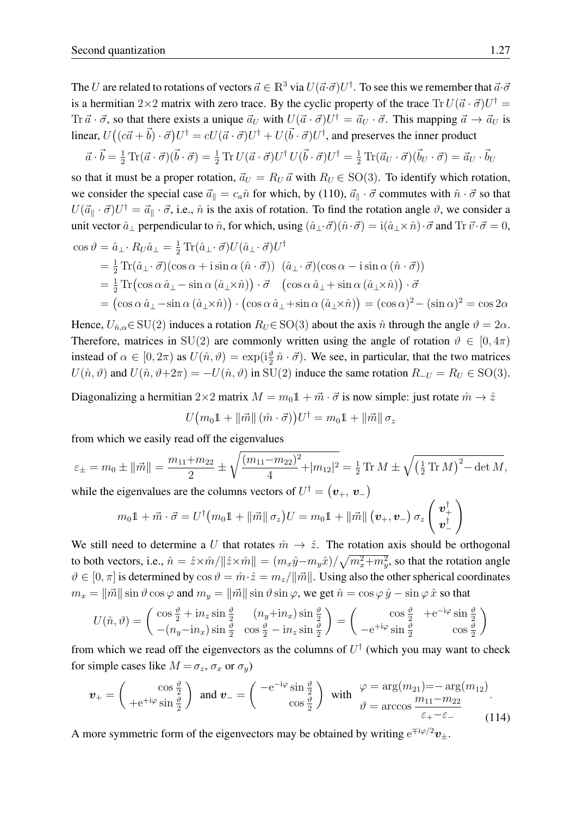The U are related to rotations of vectors  $\vec{a} \in \mathbb{R}^3$  via  $U(\vec{a} \cdot \vec{\sigma})U^{\dagger}$ . To see this we remember that  $\vec{a} \cdot \vec{\sigma}$ is a hermitian 2×2 matrix with zero trace. By the cyclic property of the trace  $\text{Tr } U(\vec{a} \cdot \vec{\sigma}) U^{\dagger} =$ Tr $\vec{a} \cdot \vec{\sigma}$ , so that there exists a unique  $\vec{a}_U$  with  $U(\vec{a} \cdot \vec{\sigma})U^{\dagger} = \vec{a}_U \cdot \vec{\sigma}$ . This mapping  $\vec{a} \to \vec{a}_U$  is linear,  $U((c\vec{a}+\vec{b})\cdot\vec{\sigma})U^{\dagger} = cU(\vec{a}\cdot\vec{\sigma})U^{\dagger} + U(\vec{b}\cdot\vec{\sigma})U^{\dagger}$ , and preserves the inner product

$$
\vec{a} \cdot \vec{b} = \frac{1}{2} \operatorname{Tr}(\vec{a} \cdot \vec{\sigma})(\vec{b} \cdot \vec{\sigma}) = \frac{1}{2} \operatorname{Tr} U(\vec{a} \cdot \vec{\sigma}) U^{\dagger} U(\vec{b} \cdot \vec{\sigma}) U^{\dagger} = \frac{1}{2} \operatorname{Tr}(\vec{a}_U \cdot \vec{\sigma})(\vec{b}_U \cdot \vec{\sigma}) = \vec{a}_U \cdot \vec{b}_U
$$

so that it must be a proper rotation,  $\vec{a}_U = R_U \vec{a}$  with  $R_U \in SO(3)$ . To identify which rotation, we consider the special case  $\vec{a}_{\parallel} = c_a \hat{n}$  for which, by [\(110\)](#page-25-1),  $\vec{a}_{\parallel} \cdot \vec{\sigma}$  commutes with  $\hat{n} \cdot \vec{\sigma}$  so that  $U(\vec{a}_{\parallel} \cdot \vec{\sigma})U^{\dagger} = \vec{a}_{\parallel} \cdot \vec{\sigma}$ , i.e.,  $\hat{n}$  is the axis of rotation. To find the rotation angle  $\vartheta$ , we consider a unit vector  $\hat{a}_{\perp}$  perpendicular to  $\hat{n}$ , for which, using  $(\hat{a}_{\perp} \cdot \vec{\sigma})(\hat{n} \cdot \vec{\sigma}) = i(\hat{a}_{\perp} \times \hat{n}) \cdot \vec{\sigma}$  and  $\text{Tr } \vec{v} \cdot \vec{\sigma} = 0$ ,

$$
\cos \vartheta = \hat{a}_{\perp} \cdot R_U \hat{a}_{\perp} = \frac{1}{2} \text{Tr}(\hat{a}_{\perp} \cdot \vec{\sigma}) U(\hat{a}_{\perp} \cdot \vec{\sigma}) U^{\dagger}
$$
  
\n
$$
= \frac{1}{2} \text{Tr}(\hat{a}_{\perp} \cdot \vec{\sigma})(\cos \alpha + i \sin \alpha (\hat{n} \cdot \vec{\sigma})) (\hat{a}_{\perp} \cdot \vec{\sigma})(\cos \alpha - i \sin \alpha (\hat{n} \cdot \vec{\sigma}))
$$
  
\n
$$
= \frac{1}{2} \text{Tr}(\cos \alpha \hat{a}_{\perp} - \sin \alpha (\hat{a}_{\perp} \times \hat{n})) \cdot \vec{\sigma} (\cos \alpha \hat{a}_{\perp} + \sin \alpha (\hat{a}_{\perp} \times \hat{n})) \cdot \vec{\sigma}
$$
  
\n
$$
= (\cos \alpha \hat{a}_{\perp} - \sin \alpha (\hat{a}_{\perp} \times \hat{n})) \cdot (\cos \alpha \hat{a}_{\perp} + \sin \alpha (\hat{a}_{\perp} \times \hat{n})) = (\cos \alpha)^2 - (\sin \alpha)^2 = \cos 2\alpha
$$

Hence,  $U_{\hat{n},\alpha} \in SU(2)$  induces a rotation  $R_U \in SO(3)$  about the axis  $\hat{n}$  through the angle  $\vartheta = 2\alpha$ . Therefore, matrices in SU(2) are commonly written using the angle of rotation  $\vartheta \in [0, 4\pi)$ instead of  $\alpha \in [0, 2\pi)$  as  $U(\hat{n}, \vartheta) = \exp(i\frac{\vartheta}{2} \hat{n} \cdot \vec{\sigma})$ . We see, in particular, that the two matrices  $U(\hat{n}, \vartheta)$  and  $U(\hat{n}, \vartheta + 2\pi) = -U(\hat{n}, \vartheta)$  in SU(2) induce the same rotation  $R_{-U} = R_U \in SO(3)$ .

Diagonalizing a hermitian  $2\times 2$  matrix  $M = m_0 \mathbb{1} + \vec{m} \cdot \vec{\sigma}$  is now simple: just rotate  $\hat{m} \to \hat{z}$ 

$$
U\big(m_0 1 + \left\|\vec{m}\right\|(\hat{m}\cdot\vec{\sigma})\big)U^\dagger = m_0 1 + \left\|\vec{m}\right\|\sigma_z
$$

from which we easily read off the eigenvalues

$$
\varepsilon_{\pm} = m_0 \pm ||\vec{m}|| = \frac{m_{11} + m_{22}}{2} \pm \sqrt{\frac{(m_{11} - m_{22})^2}{4} + |m_{12}|^2} = \frac{1}{2} \operatorname{Tr} M \pm \sqrt{\left(\frac{1}{2} \operatorname{Tr} M\right)^2 - \det M},
$$
  
while the eigenvalues are the columns vectors of  $U^{\dagger} = (\mathbf{v}_{+}, \mathbf{v}_{-})$ 

$$
m_0 \mathbb{1} + \vec{m} \cdot \vec{\sigma} = U^{\dagger} (m_0 \mathbb{1} + ||\vec{m}|| \sigma_z) U = m_0 \mathbb{1} + ||\vec{m}|| (v_+, v_-) \sigma_z \begin{pmatrix} v_+^{\dagger} \\ v_-^{\dagger} \end{pmatrix}
$$

We still need to determine a U that rotates  $\hat{m} \to \hat{z}$ . The rotation axis should be orthogonal to both vectors, i.e.,  $\hat{n} = \hat{z} \times \hat{m}/\|\hat{z} \times \hat{m}\| = (m_x \hat{y} - m_y \hat{x})/\sqrt{m_x^2 + m_y^2}$ , so that the rotation angle  $\vartheta \in [0, \pi]$  is determined by  $\cos \vartheta = \hat{m} \cdot \hat{z} = m_z/||\vec{m}||$ . Using also the other spherical coordinates  $m_x = ||\vec{m}|| \sin \vartheta \cos \varphi$  and  $m_y = ||\vec{m}|| \sin \vartheta \sin \varphi$ , we get  $\hat{n} = \cos \varphi \hat{y} - \sin \varphi \hat{x}$  so that

$$
U(\hat{n}, \vartheta) = \begin{pmatrix} \cos\frac{\vartheta}{2} + i n_z \sin\frac{\vartheta}{2} & (n_y + i n_x) \sin\frac{\vartheta}{2} \\ -(n_y - i n_x) \sin\frac{\vartheta}{2} & \cos\frac{\vartheta}{2} - i n_z \sin\frac{\vartheta}{2} \end{pmatrix} = \begin{pmatrix} \cos\frac{\vartheta}{2} & + e^{-i\varphi} \sin\frac{\vartheta}{2} \\ -e^{+i\varphi} \sin\frac{\vartheta}{2} & \cos\frac{\vartheta}{2} \end{pmatrix}
$$

from which we read off the eigenvectors as the columns of  $U^{\dagger}$  (which you may want to check for simple cases like  $M = \sigma_z$ ,  $\sigma_x$  or  $\sigma_y$ )

$$
\mathbf{v}_{+} = \begin{pmatrix} \cos\frac{\vartheta}{2} \\ +e^{+i\varphi}\sin\frac{\vartheta}{2} \end{pmatrix} \text{ and } \mathbf{v}_{-} = \begin{pmatrix} -e^{-i\varphi}\sin\frac{\vartheta}{2} \\ \cos\frac{\vartheta}{2} \end{pmatrix} \text{ with } \begin{array}{l} \varphi = \arg(m_{21}) = -\arg(m_{12}) \\ \vartheta = \arccos\frac{m_{11} - m_{22}}{\varepsilon_{+} - \varepsilon_{-}} \end{array} \tag{114}
$$

A more symmetric form of the eigenvectors may be obtained by writing  $e^{\mp i\varphi/2}v_{\pm}$ .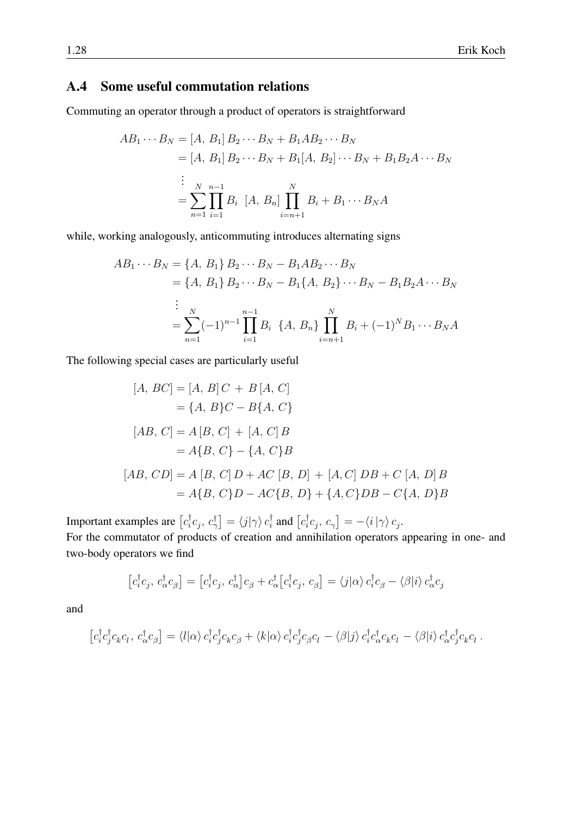### <span id="page-27-0"></span>A.4 Some useful commutation relations

Commuting an operator through a product of operators is straightforward

$$
AB_1 \cdots B_N = [A, B_1] B_2 \cdots B_N + B_1 AB_2 \cdots B_N
$$
  
= [A, B\_1] B\_2 \cdots B\_N + B\_1[A, B\_2] \cdots B\_N + B\_1 B\_2 A \cdots B\_N  

$$
\vdots
$$
  
= 
$$
\sum_{n=1}^N \prod_{i=1}^{n-1} B_i [A, B_n] \prod_{i=n+1}^N B_i + B_1 \cdots B_N A
$$

while, working analogously, anticommuting introduces alternating signs

$$
AB_1 \cdots B_N = \{A, B_1\} B_2 \cdots B_N - B_1 AB_2 \cdots B_N
$$
  
=  $\{A, B_1\} B_2 \cdots B_N - B_1 \{A, B_2\} \cdots B_N - B_1 B_2 A \cdots B_N$   

$$
\vdots
$$
  
= 
$$
\sum_{n=1}^N (-1)^{n-1} \prod_{i=1}^{n-1} B_i \{A, B_n\} \prod_{i=n+1}^N B_i + (-1)^N B_1 \cdots B_N A
$$

The following special cases are particularly useful

$$
[A, BC] = [A, B]C + B[A, C]
$$
  
\n
$$
= \{A, B\}C - B\{A, C\}
$$
  
\n
$$
[AB, C] = A[B, C] + [A, C]B
$$
  
\n
$$
= A\{B, C\} - \{A, C\}B
$$
  
\n
$$
[AB, CD] = A[B, C]D + AC[B, D] + [A, C]DB + C[A, D]B
$$
  
\n
$$
= A\{B, C\}D - AC\{B, D\} + \{A, C\}DB - C\{A, D\}B
$$

Important examples are  $[c_i^{\dagger}]$  $\bigl\{ {}^{\dag}_i c_j ,\, c^{\dag}_{\gamma} \bigr\} = \braket{j|\gamma}{c^{\dag}_i}$  $\frac{1}{i}$  and  $\left[c_i^{\dagger}\right]$  $\left[ c_j, c_\gamma \right] = -\langle i\left|\gamma\right\rangle c_j.$ For the commutator of products of creation and annihilation operators appearing in one- and two-body operators we find

$$
\left[c_i^{\dagger}c_j, c_{\alpha}^{\dagger}c_{\beta}\right] = \left[c_i^{\dagger}c_j, c_{\alpha}^{\dagger}\right]c_{\beta} + c_{\alpha}^{\dagger}\left[c_i^{\dagger}c_j, c_{\beta}\right] = \langle j|\alpha\rangle c_i^{\dagger}c_{\beta} - \langle\beta|i\rangle c_{\alpha}^{\dagger}c_j
$$

and

$$
\left[c_i^{\dagger}c_j^{\dagger}c_k c_l, c_\alpha^{\dagger}c_\beta\right] = \langle l|\alpha\rangle c_i^{\dagger}c_j^{\dagger}c_k c_\beta + \langle k|\alpha\rangle c_i^{\dagger}c_j^{\dagger}c_\beta c_l - \langle \beta|j\rangle c_i^{\dagger}c_\alpha^{\dagger}c_k c_l - \langle \beta|i\rangle c_\alpha^{\dagger}c_j^{\dagger}c_k c_l.
$$